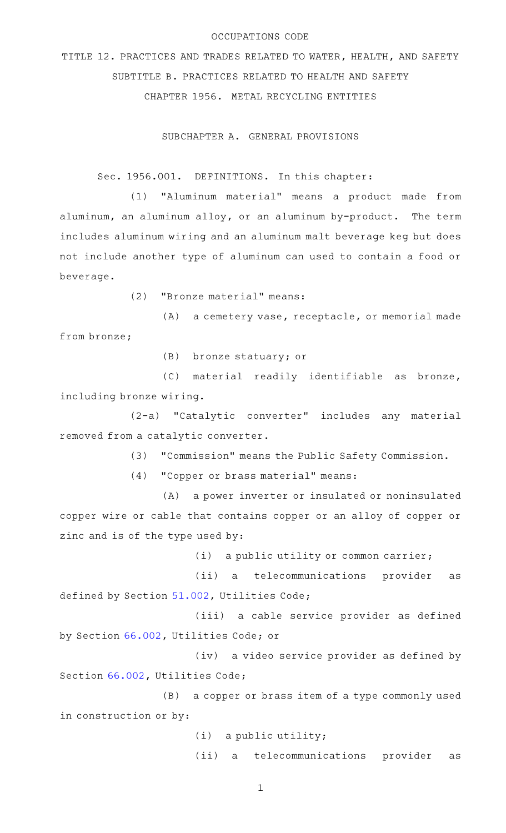#### OCCUPATIONS CODE

TITLE 12. PRACTICES AND TRADES RELATED TO WATER, HEALTH, AND SAFETY SUBTITLE B. PRACTICES RELATED TO HEALTH AND SAFETY CHAPTER 1956. METAL RECYCLING ENTITIES

SUBCHAPTER A. GENERAL PROVISIONS

Sec. 1956.001. DEFINITIONS. In this chapter:

(1) "Aluminum material" means a product made from aluminum, an aluminum alloy, or an aluminum by-product. The term includes aluminum wiring and an aluminum malt beverage keg but does not include another type of aluminum can used to contain a food or beverage.

(2) "Bronze material" means:

 $(A)$  a cemetery vase, receptacle, or memorial made from bronze;

(B) bronze statuary; or

 $(C)$  material readily identifiable as bronze, including bronze wiring.

(2-a) "Catalytic converter" includes any material removed from a catalytic converter.

(3) "Commission" means the Public Safety Commission.

(4) "Copper or brass material" means:

(A) a power inverter or insulated or noninsulated copper wire or cable that contains copper or an alloy of copper or zinc and is of the type used by:

 $(i)$  a public utility or common carrier;

(ii) a telecommunications provider as defined by Section [51.002](https://statutes.capitol.texas.gov/GetStatute.aspx?Code=UT&Value=51.002), Utilities Code;

(iii) a cable service provider as defined by Section [66.002](https://statutes.capitol.texas.gov/GetStatute.aspx?Code=UT&Value=66.002), Utilities Code; or

(iv) a video service provider as defined by Section [66.002](https://statutes.capitol.texas.gov/GetStatute.aspx?Code=UT&Value=66.002), Utilities Code;

(B) a copper or brass item of a type commonly used in construction or by:

 $(i)$  a public utility;

(ii) a telecommunications provider as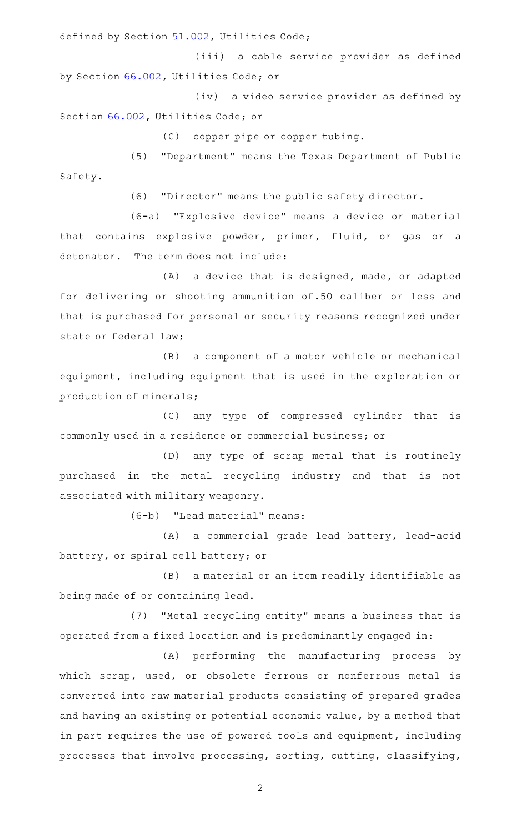defined by Section [51.002](https://statutes.capitol.texas.gov/GetStatute.aspx?Code=UT&Value=51.002), Utilities Code;

(iii) a cable service provider as defined by Section [66.002](https://statutes.capitol.texas.gov/GetStatute.aspx?Code=UT&Value=66.002), Utilities Code; or

(iv) a video service provider as defined by Section [66.002](https://statutes.capitol.texas.gov/GetStatute.aspx?Code=UT&Value=66.002), Utilities Code; or

(C) copper pipe or copper tubing.

(5) "Department" means the Texas Department of Public Safety.

(6) "Director" means the public safety director.

(6-a) "Explosive device" means a device or material that contains explosive powder, primer, fluid, or gas or a detonator. The term does not include:

 $(A)$  a device that is designed, made, or adapted for delivering or shooting ammunition of.50 caliber or less and that is purchased for personal or security reasons recognized under state or federal law;

(B) a component of a motor vehicle or mechanical equipment, including equipment that is used in the exploration or production of minerals;

(C) any type of compressed cylinder that is commonly used in a residence or commercial business; or

(D) any type of scrap metal that is routinely purchased in the metal recycling industry and that is not associated with military weaponry.

 $(6-b)$  "Lead material" means:

(A) a commercial grade lead battery, lead-acid battery, or spiral cell battery; or

(B) a material or an item readily identifiable as being made of or containing lead.

(7) "Metal recycling entity" means a business that is operated from a fixed location and is predominantly engaged in:

(A) performing the manufacturing process by which scrap, used, or obsolete ferrous or nonferrous metal is converted into raw material products consisting of prepared grades and having an existing or potential economic value, by a method that in part requires the use of powered tools and equipment, including processes that involve processing, sorting, cutting, classifying,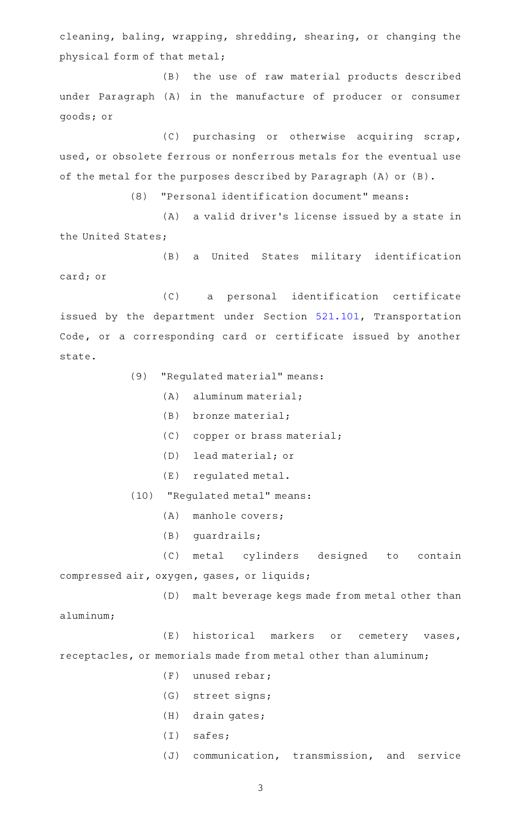cleaning, baling, wrapping, shredding, shearing, or changing the physical form of that metal;

(B) the use of raw material products described under Paragraph (A) in the manufacture of producer or consumer goods; or

(C) purchasing or otherwise acquiring scrap, used, or obsolete ferrous or nonferrous metals for the eventual use of the metal for the purposes described by Paragraph (A) or (B).

(8) "Personal identification document" means:

(A) a valid driver's license issued by a state in the United States;

(B) a United States military identification card; or

(C) a personal identification certificate issued by the department under Section [521.101,](https://statutes.capitol.texas.gov/GetStatute.aspx?Code=TN&Value=521.101) Transportation Code, or a corresponding card or certificate issued by another state.

(9) "Regulated material" means:

- $(A)$  aluminum material;
- $(B)$  bronze material;
- (C) copper or brass material;
- (D) lead material; or
- (E) regulated metal.

(10) "Regulated metal" means:

- $(A)$  manhole covers;
- $(B)$  guardrails;

(C) metal cylinders designed to contain compressed air, oxygen, gases, or liquids;

(D) malt beverage kegs made from metal other than

aluminum;

(E) historical markers or cemetery vases, receptacles, or memorials made from metal other than aluminum;

- $(F)$  unused rebar;
- (G) street signs;
- $(H)$  drain gates;
- $(I)$  safes;
- (J) communication, transmission, and service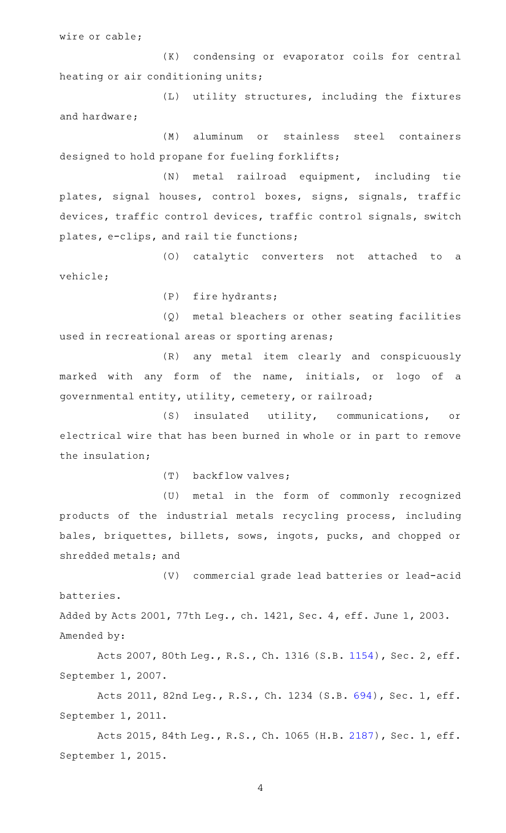wire or cable;

(K) condensing or evaporator coils for central heating or air conditioning units;

(L) utility structures, including the fixtures and hardware;

(M) aluminum or stainless steel containers designed to hold propane for fueling forklifts;

(N) metal railroad equipment, including tie plates, signal houses, control boxes, signs, signals, traffic devices, traffic control devices, traffic control signals, switch plates, e-clips, and rail tie functions;

(0) catalytic converters not attached to a vehicle;

(P) fire hydrants;

(Q) metal bleachers or other seating facilities used in recreational areas or sporting arenas;

(R) any metal item clearly and conspicuously marked with any form of the name, initials, or logo of a governmental entity, utility, cemetery, or railroad;

(S) insulated utility, communications, or electrical wire that has been burned in whole or in part to remove the insulation;

(T) backflow valves;

(U) metal in the form of commonly recognized products of the industrial metals recycling process, including bales, briquettes, billets, sows, ingots, pucks, and chopped or shredded metals; and

(V) commercial grade lead batteries or lead-acid batteries. Added by Acts 2001, 77th Leg., ch. 1421, Sec. 4, eff. June 1, 2003.

Amended by:

Acts 2007, 80th Leg., R.S., Ch. 1316 (S.B. [1154](http://www.legis.state.tx.us/tlodocs/80R/billtext/html/SB01154F.HTM)), Sec. 2, eff. September 1, 2007.

Acts 2011, 82nd Leg., R.S., Ch. 1234 (S.B. [694](http://www.legis.state.tx.us/tlodocs/82R/billtext/html/SB00694F.HTM)), Sec. 1, eff. September 1, 2011.

Acts 2015, 84th Leg., R.S., Ch. 1065 (H.B. [2187](http://www.legis.state.tx.us/tlodocs/84R/billtext/html/HB02187F.HTM)), Sec. 1, eff. September 1, 2015.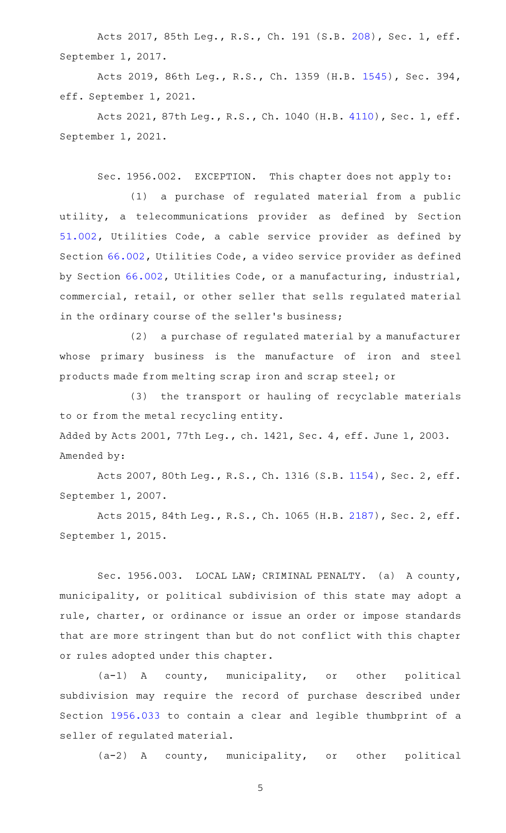Acts 2017, 85th Leg., R.S., Ch. 191 (S.B. [208](http://www.legis.state.tx.us/tlodocs/85R/billtext/html/SB00208F.HTM)), Sec. 1, eff. September 1, 2017.

Acts 2019, 86th Leg., R.S., Ch. 1359 (H.B. [1545](http://www.legis.state.tx.us/tlodocs/86R/billtext/html/HB01545F.HTM)), Sec. 394, eff. September 1, 2021.

Acts 2021, 87th Leg., R.S., Ch. 1040 (H.B. [4110](http://www.legis.state.tx.us/tlodocs/87R/billtext/html/HB04110F.HTM)), Sec. 1, eff. September 1, 2021.

Sec. 1956.002. EXCEPTION. This chapter does not apply to:

(1) a purchase of regulated material from a public utility, a telecommunications provider as defined by Section [51.002](https://statutes.capitol.texas.gov/GetStatute.aspx?Code=UT&Value=51.002), Utilities Code, a cable service provider as defined by Section [66.002](https://statutes.capitol.texas.gov/GetStatute.aspx?Code=UT&Value=66.002), Utilities Code, a video service provider as defined by Section [66.002](https://statutes.capitol.texas.gov/GetStatute.aspx?Code=UT&Value=66.002), Utilities Code, or a manufacturing, industrial, commercial, retail, or other seller that sells regulated material in the ordinary course of the seller's business;

(2) a purchase of regulated material by a manufacturer whose primary business is the manufacture of iron and steel products made from melting scrap iron and scrap steel; or

(3) the transport or hauling of recyclable materials to or from the metal recycling entity. Added by Acts 2001, 77th Leg., ch. 1421, Sec. 4, eff. June 1, 2003. Amended by:

Acts 2007, 80th Leg., R.S., Ch. 1316 (S.B. [1154](http://www.legis.state.tx.us/tlodocs/80R/billtext/html/SB01154F.HTM)), Sec. 2, eff. September 1, 2007.

Acts 2015, 84th Leg., R.S., Ch. 1065 (H.B. [2187](http://www.legis.state.tx.us/tlodocs/84R/billtext/html/HB02187F.HTM)), Sec. 2, eff. September 1, 2015.

Sec. 1956.003. LOCAL LAW; CRIMINAL PENALTY. (a) A county, municipality, or political subdivision of this state may adopt a rule, charter, or ordinance or issue an order or impose standards that are more stringent than but do not conflict with this chapter or rules adopted under this chapter.

 $(a-1)$  A county, municipality, or other political subdivision may require the record of purchase described under Section [1956.033](https://statutes.capitol.texas.gov/GetStatute.aspx?Code=OC&Value=1956.033) to contain a clear and legible thumbprint of a seller of regulated material.

 $(a-2)$  A county, municipality, or other political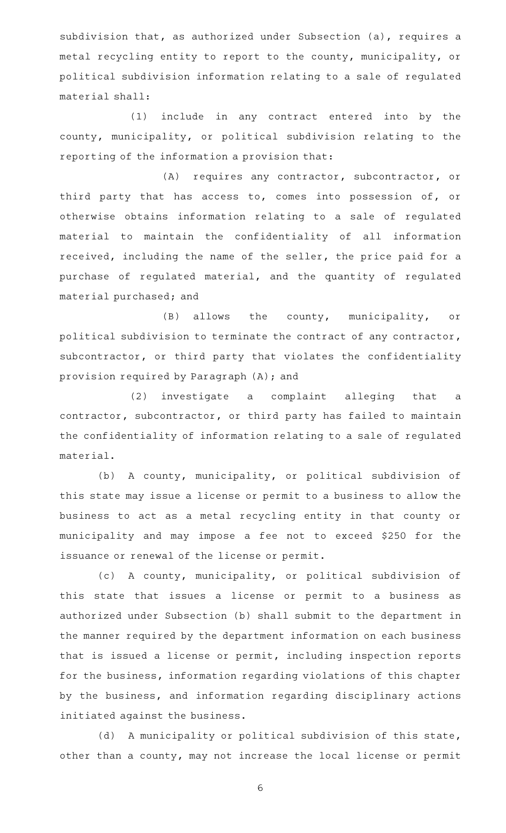subdivision that, as authorized under Subsection (a), requires a metal recycling entity to report to the county, municipality, or political subdivision information relating to a sale of regulated material shall:

(1) include in any contract entered into by the county, municipality, or political subdivision relating to the reporting of the information a provision that:

(A) requires any contractor, subcontractor, or third party that has access to, comes into possession of, or otherwise obtains information relating to a sale of regulated material to maintain the confidentiality of all information received, including the name of the seller, the price paid for a purchase of regulated material, and the quantity of regulated material purchased; and

 $(B)$  allows the county, municipality, or political subdivision to terminate the contract of any contractor, subcontractor, or third party that violates the confidentiality provision required by Paragraph (A); and

(2) investigate a complaint alleging that a contractor, subcontractor, or third party has failed to maintain the confidentiality of information relating to a sale of regulated material.

(b) A county, municipality, or political subdivision of this state may issue a license or permit to a business to allow the business to act as a metal recycling entity in that county or municipality and may impose a fee not to exceed \$250 for the issuance or renewal of the license or permit.

(c) A county, municipality, or political subdivision of this state that issues a license or permit to a business as authorized under Subsection (b) shall submit to the department in the manner required by the department information on each business that is issued a license or permit, including inspection reports for the business, information regarding violations of this chapter by the business, and information regarding disciplinary actions initiated against the business.

(d) A municipality or political subdivision of this state, other than a county, may not increase the local license or permit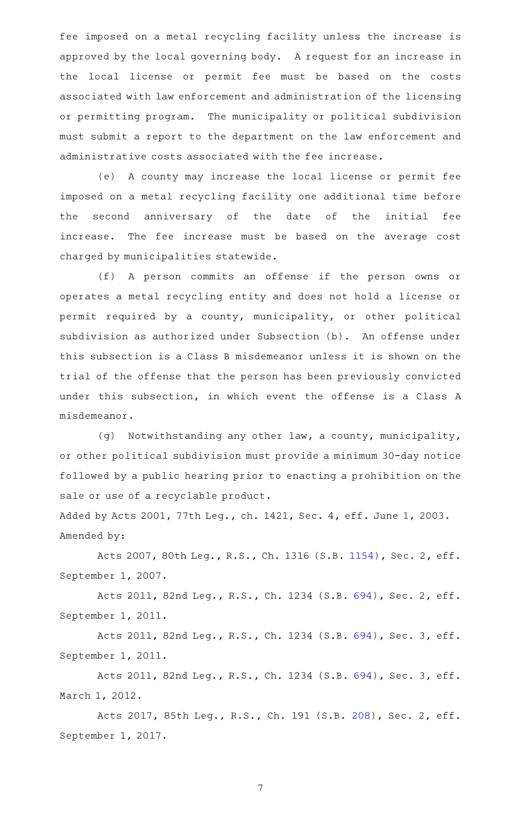fee imposed on a metal recycling facility unless the increase is approved by the local governing body. A request for an increase in the local license or permit fee must be based on the costs associated with law enforcement and administration of the licensing or permitting program. The municipality or political subdivision must submit a report to the department on the law enforcement and administrative costs associated with the fee increase.

(e) A county may increase the local license or permit fee imposed on a metal recycling facility one additional time before the second anniversary of the date of the initial fee increase. The fee increase must be based on the average cost charged by municipalities statewide.

(f)AAA person commits an offense if the person owns or operates a metal recycling entity and does not hold a license or permit required by a county, municipality, or other political subdivision as authorized under Subsection (b). An offense under this subsection is a Class B misdemeanor unless it is shown on the trial of the offense that the person has been previously convicted under this subsection, in which event the offense is a Class A misdemeanor.

(g) Notwithstanding any other law, a county, municipality, or other political subdivision must provide a minimum 30-day notice followed by a public hearing prior to enacting a prohibition on the sale or use of a recyclable product.

Added by Acts 2001, 77th Leg., ch. 1421, Sec. 4, eff. June 1, 2003. Amended by:

Acts 2007, 80th Leg., R.S., Ch. 1316 (S.B. [1154](http://www.legis.state.tx.us/tlodocs/80R/billtext/html/SB01154F.HTM)), Sec. 2, eff. September 1, 2007.

Acts 2011, 82nd Leg., R.S., Ch. 1234 (S.B. [694](http://www.legis.state.tx.us/tlodocs/82R/billtext/html/SB00694F.HTM)), Sec. 2, eff. September 1, 2011.

Acts 2011, 82nd Leg., R.S., Ch. 1234 (S.B. [694](http://www.legis.state.tx.us/tlodocs/82R/billtext/html/SB00694F.HTM)), Sec. 3, eff. September 1, 2011.

Acts 2011, 82nd Leg., R.S., Ch. 1234 (S.B. [694](http://www.legis.state.tx.us/tlodocs/82R/billtext/html/SB00694F.HTM)), Sec. 3, eff. March 1, 2012.

Acts 2017, 85th Leg., R.S., Ch. 191 (S.B. [208](http://www.legis.state.tx.us/tlodocs/85R/billtext/html/SB00208F.HTM)), Sec. 2, eff. September 1, 2017.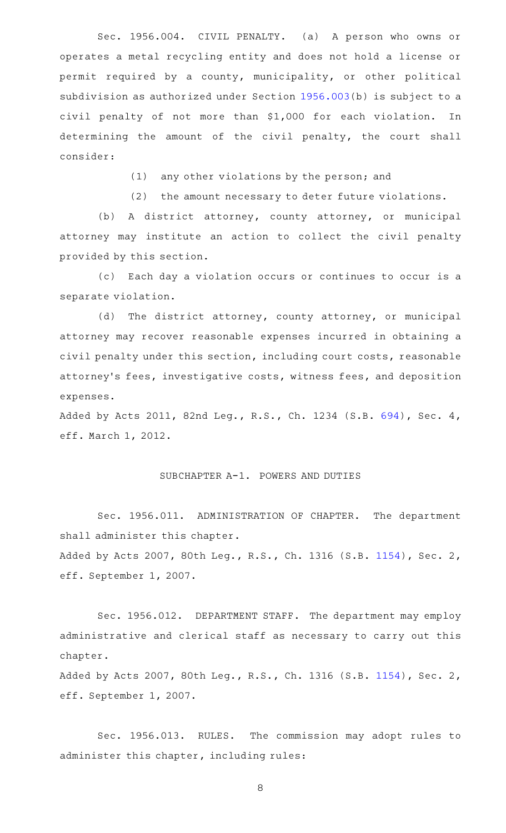Sec. 1956.004. CIVIL PENALTY. (a) A person who owns or operates a metal recycling entity and does not hold a license or permit required by a county, municipality, or other political subdivision as authorized under Section [1956.003](https://statutes.capitol.texas.gov/GetStatute.aspx?Code=OC&Value=1956.003)(b) is subject to a civil penalty of not more than \$1,000 for each violation. In determining the amount of the civil penalty, the court shall consider:

(1) any other violations by the person; and

(2) the amount necessary to deter future violations.

(b) A district attorney, county attorney, or municipal attorney may institute an action to collect the civil penalty provided by this section.

(c) Each day a violation occurs or continues to occur is a separate violation.

(d) The district attorney, county attorney, or municipal attorney may recover reasonable expenses incurred in obtaining a civil penalty under this section, including court costs, reasonable attorney 's fees, investigative costs, witness fees, and deposition expenses.

Added by Acts 2011, 82nd Leg., R.S., Ch. 1234 (S.B. [694](http://www.legis.state.tx.us/tlodocs/82R/billtext/html/SB00694F.HTM)), Sec. 4, eff. March 1, 2012.

### SUBCHAPTER A-1. POWERS AND DUTIES

Sec. 1956.011. ADMINISTRATION OF CHAPTER. The department shall administer this chapter. Added by Acts 2007, 80th Leg., R.S., Ch. 1316 (S.B. [1154\)](http://www.legis.state.tx.us/tlodocs/80R/billtext/html/SB01154F.HTM), Sec. 2,

eff. September 1, 2007.

Sec. 1956.012. DEPARTMENT STAFF. The department may employ administrative and clerical staff as necessary to carry out this chapter.

Added by Acts 2007, 80th Leg., R.S., Ch. 1316 (S.B. [1154\)](http://www.legis.state.tx.us/tlodocs/80R/billtext/html/SB01154F.HTM), Sec. 2, eff. September 1, 2007.

Sec. 1956.013. RULES. The commission may adopt rules to administer this chapter, including rules: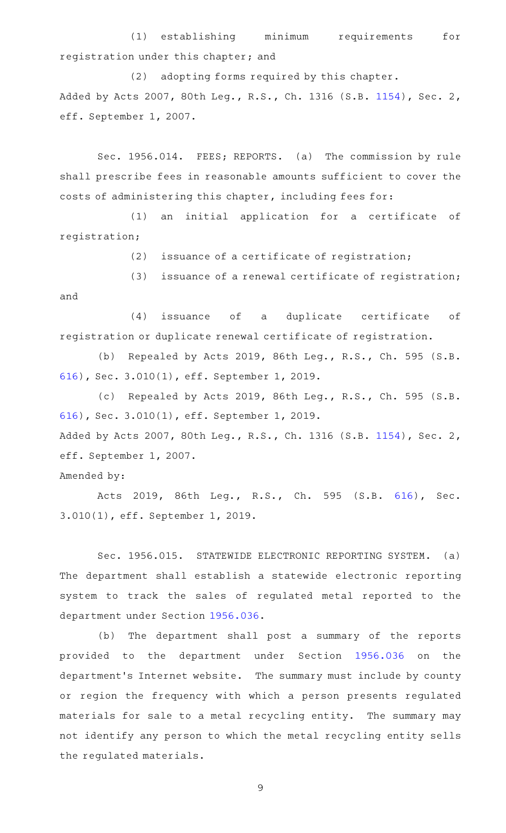(1) establishing minimum requirements for registration under this chapter; and

(2) adopting forms required by this chapter. Added by Acts 2007, 80th Leg., R.S., Ch. 1316 (S.B. [1154\)](http://www.legis.state.tx.us/tlodocs/80R/billtext/html/SB01154F.HTM), Sec. 2, eff. September 1, 2007.

Sec. 1956.014. FEES; REPORTS. (a) The commission by rule shall prescribe fees in reasonable amounts sufficient to cover the costs of administering this chapter, including fees for:

(1) an initial application for a certificate of registration;

 $(2)$  issuance of a certificate of registration;

(3) issuance of a renewal certificate of registration; and

(4) issuance of a duplicate certificate of registration or duplicate renewal certificate of registration.

(b) Repealed by Acts 2019, 86th Leg., R.S., Ch. 595 (S.B. [616\)](http://www.legis.state.tx.us/tlodocs/86R/billtext/html/SB00616F.HTM), Sec. 3.010(1), eff. September 1, 2019.

(c) Repealed by Acts 2019, 86th Leg., R.S., Ch. 595 (S.B. [616\)](http://www.legis.state.tx.us/tlodocs/86R/billtext/html/SB00616F.HTM), Sec. 3.010(1), eff. September 1, 2019. Added by Acts 2007, 80th Leg., R.S., Ch. 1316 (S.B. [1154\)](http://www.legis.state.tx.us/tlodocs/80R/billtext/html/SB01154F.HTM), Sec. 2, eff. September 1, 2007.

Amended by:

Acts 2019, 86th Leg., R.S., Ch. 595 (S.B. [616\)](http://www.legis.state.tx.us/tlodocs/86R/billtext/html/SB00616F.HTM), Sec. 3.010(1), eff. September 1, 2019.

Sec. 1956.015. STATEWIDE ELECTRONIC REPORTING SYSTEM. (a) The department shall establish a statewide electronic reporting system to track the sales of regulated metal reported to the department under Section [1956.036.](https://statutes.capitol.texas.gov/GetStatute.aspx?Code=OC&Value=1956.036)

(b) The department shall post a summary of the reports provided to the department under Section [1956.036](https://statutes.capitol.texas.gov/GetStatute.aspx?Code=OC&Value=1956.036) on the department's Internet website. The summary must include by county or region the frequency with which a person presents regulated materials for sale to a metal recycling entity. The summary may not identify any person to which the metal recycling entity sells the regulated materials.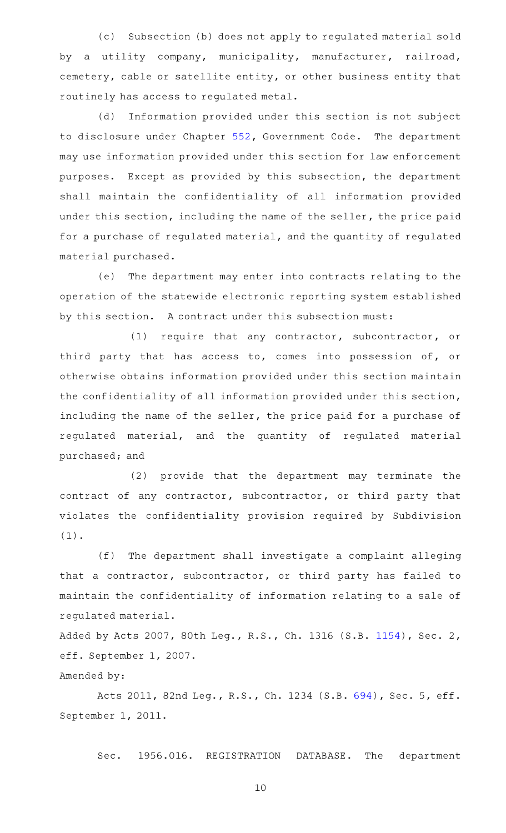(c) Subsection (b) does not apply to regulated material sold by a utility company, municipality, manufacturer, railroad, cemetery, cable or satellite entity, or other business entity that routinely has access to regulated metal.

(d) Information provided under this section is not subject to disclosure under Chapter [552](https://statutes.capitol.texas.gov/GetStatute.aspx?Code=GV&Value=552), Government Code. The department may use information provided under this section for law enforcement purposes. Except as provided by this subsection, the department shall maintain the confidentiality of all information provided under this section, including the name of the seller, the price paid for a purchase of regulated material, and the quantity of regulated material purchased.

(e) The department may enter into contracts relating to the operation of the statewide electronic reporting system established by this section. A contract under this subsection must:

(1) require that any contractor, subcontractor, or third party that has access to, comes into possession of, or otherwise obtains information provided under this section maintain the confidentiality of all information provided under this section, including the name of the seller, the price paid for a purchase of regulated material, and the quantity of regulated material purchased; and

(2) provide that the department may terminate the contract of any contractor, subcontractor, or third party that violates the confidentiality provision required by Subdivision (1).

(f) The department shall investigate a complaint alleging that a contractor, subcontractor, or third party has failed to maintain the confidentiality of information relating to a sale of regulated material.

Added by Acts 2007, 80th Leg., R.S., Ch. 1316 (S.B. [1154\)](http://www.legis.state.tx.us/tlodocs/80R/billtext/html/SB01154F.HTM), Sec. 2, eff. September 1, 2007.

# Amended by:

Acts 2011, 82nd Leg., R.S., Ch. 1234 (S.B. [694](http://www.legis.state.tx.us/tlodocs/82R/billtext/html/SB00694F.HTM)), Sec. 5, eff. September 1, 2011.

Sec. 1956.016. REGISTRATION DATABASE. The department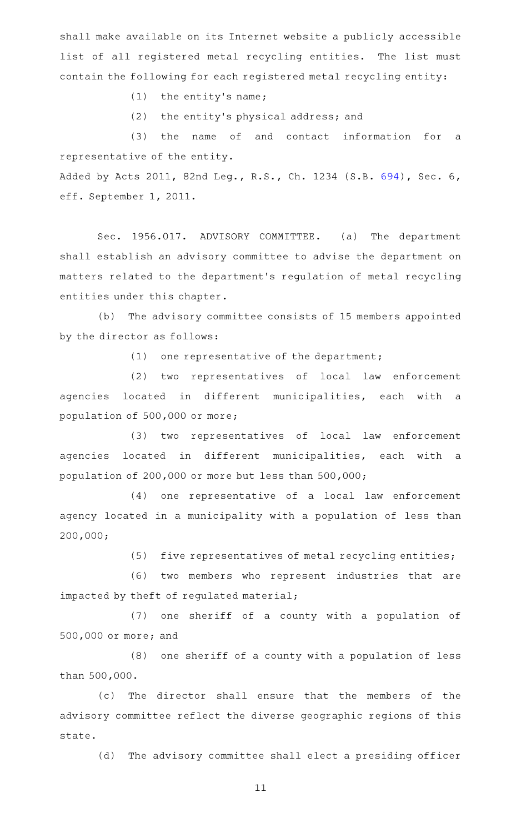shall make available on its Internet website a publicly accessible list of all registered metal recycling entities. The list must contain the following for each registered metal recycling entity:

 $(1)$  the entity's name;

(2) the entity's physical address; and

(3) the name of and contact information for a representative of the entity.

Added by Acts 2011, 82nd Leg., R.S., Ch. 1234 (S.B. [694](http://www.legis.state.tx.us/tlodocs/82R/billtext/html/SB00694F.HTM)), Sec. 6, eff. September 1, 2011.

Sec. 1956.017. ADVISORY COMMITTEE. (a) The department shall establish an advisory committee to advise the department on matters related to the department 's regulation of metal recycling entities under this chapter.

(b) The advisory committee consists of 15 members appointed by the director as follows:

 $(1)$  one representative of the department;

(2) two representatives of local law enforcement agencies located in different municipalities, each with a population of 500,000 or more;

(3) two representatives of local law enforcement agencies located in different municipalities, each with a population of 200,000 or more but less than 500,000;

(4) one representative of a local law enforcement agency located in a municipality with a population of less than 200,000;

(5) five representatives of metal recycling entities;

(6) two members who represent industries that are impacted by theft of regulated material;

(7) one sheriff of a county with a population of 500,000 or more; and

(8) one sheriff of a county with a population of less than 500,000.

(c) The director shall ensure that the members of the advisory committee reflect the diverse geographic regions of this state.

(d) The advisory committee shall elect a presiding officer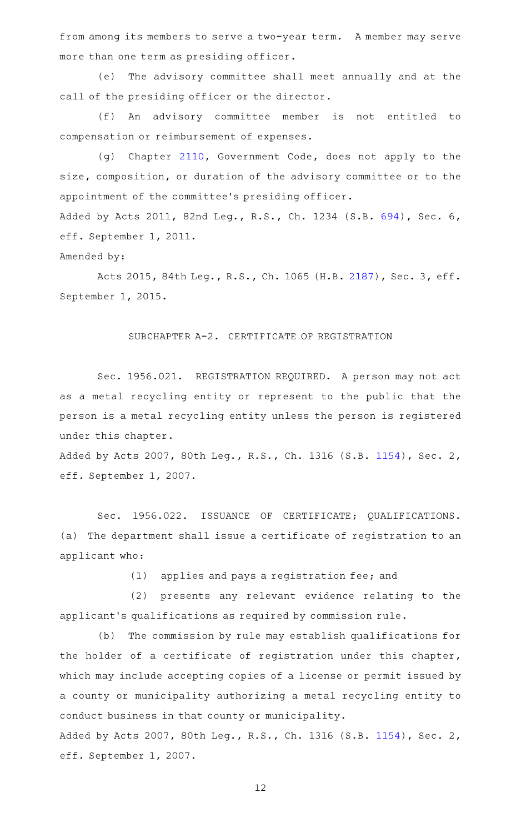from among its members to serve a two-year term. A member may serve more than one term as presiding officer.

(e) The advisory committee shall meet annually and at the call of the presiding officer or the director.

(f) An advisory committee member is not entitled to compensation or reimbursement of expenses.

(g) Chapter [2110](https://statutes.capitol.texas.gov/GetStatute.aspx?Code=GV&Value=2110), Government Code, does not apply to the size, composition, or duration of the advisory committee or to the appointment of the committee 's presiding officer. Added by Acts 2011, 82nd Leg., R.S., Ch. 1234 (S.B. [694](http://www.legis.state.tx.us/tlodocs/82R/billtext/html/SB00694F.HTM)), Sec. 6,

eff. September 1, 2011.

Amended by:

Acts 2015, 84th Leg., R.S., Ch. 1065 (H.B. [2187](http://www.legis.state.tx.us/tlodocs/84R/billtext/html/HB02187F.HTM)), Sec. 3, eff. September 1, 2015.

SUBCHAPTER A-2. CERTIFICATE OF REGISTRATION

Sec. 1956.021. REGISTRATION REQUIRED. A person may not act as a metal recycling entity or represent to the public that the person is a metal recycling entity unless the person is registered under this chapter.

Added by Acts 2007, 80th Leg., R.S., Ch. 1316 (S.B. [1154\)](http://www.legis.state.tx.us/tlodocs/80R/billtext/html/SB01154F.HTM), Sec. 2, eff. September 1, 2007.

Sec. 1956.022. ISSUANCE OF CERTIFICATE; QUALIFICATIONS. (a) The department shall issue a certificate of registration to an applicant who:

(1) applies and pays a registration fee; and

(2) presents any relevant evidence relating to the applicant 's qualifications as required by commission rule.

(b) The commission by rule may establish qualifications for the holder of a certificate of registration under this chapter, which may include accepting copies of a license or permit issued by a county or municipality authorizing a metal recycling entity to conduct business in that county or municipality.

Added by Acts 2007, 80th Leg., R.S., Ch. 1316 (S.B. [1154\)](http://www.legis.state.tx.us/tlodocs/80R/billtext/html/SB01154F.HTM), Sec. 2, eff. September 1, 2007.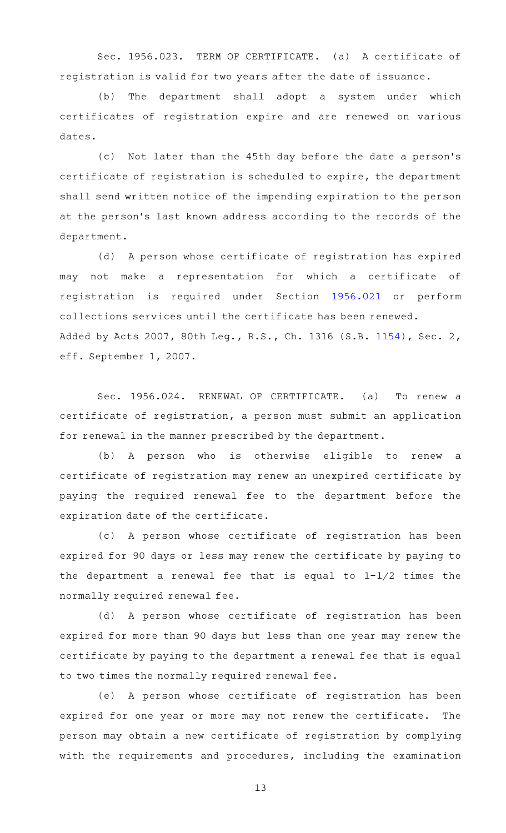Sec. 1956.023. TERM OF CERTIFICATE. (a) A certificate of registration is valid for two years after the date of issuance.

(b) The department shall adopt a system under which certificates of registration expire and are renewed on various dates.

(c) Not later than the 45th day before the date a person's certificate of registration is scheduled to expire, the department shall send written notice of the impending expiration to the person at the person's last known address according to the records of the department.

(d) A person whose certificate of registration has expired may not make a representation for which a certificate of registration is required under Section [1956.021](https://statutes.capitol.texas.gov/GetStatute.aspx?Code=OC&Value=1956.021) or perform collections services until the certificate has been renewed. Added by Acts 2007, 80th Leg., R.S., Ch. 1316 (S.B. [1154\)](http://www.legis.state.tx.us/tlodocs/80R/billtext/html/SB01154F.HTM), Sec. 2, eff. September 1, 2007.

Sec. 1956.024. RENEWAL OF CERTIFICATE. (a) To renew a certificate of registration, a person must submit an application for renewal in the manner prescribed by the department.

(b) A person who is otherwise eligible to renew a certificate of registration may renew an unexpired certificate by paying the required renewal fee to the department before the expiration date of the certificate.

(c)AAA person whose certificate of registration has been expired for 90 days or less may renew the certificate by paying to the department a renewal fee that is equal to 1-1/2 times the normally required renewal fee.

(d) A person whose certificate of registration has been expired for more than 90 days but less than one year may renew the certificate by paying to the department a renewal fee that is equal to two times the normally required renewal fee.

(e) A person whose certificate of registration has been expired for one year or more may not renew the certificate. The person may obtain a new certificate of registration by complying with the requirements and procedures, including the examination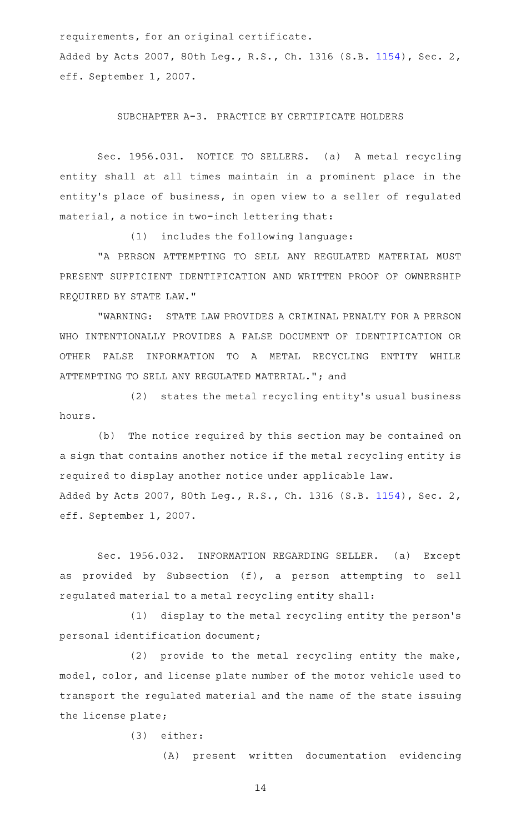requirements, for an original certificate.

Added by Acts 2007, 80th Leg., R.S., Ch. 1316 (S.B. [1154\)](http://www.legis.state.tx.us/tlodocs/80R/billtext/html/SB01154F.HTM), Sec. 2, eff. September 1, 2007.

SUBCHAPTER A-3. PRACTICE BY CERTIFICATE HOLDERS

Sec. 1956.031. NOTICE TO SELLERS. (a) A metal recycling entity shall at all times maintain in a prominent place in the entity's place of business, in open view to a seller of regulated material, a notice in two-inch lettering that:

(1) includes the following language:

"A PERSON ATTEMPTING TO SELL ANY REGULATED MATERIAL MUST PRESENT SUFFICIENT IDENTIFICATION AND WRITTEN PROOF OF OWNERSHIP REQUIRED BY STATE LAW."

"WARNING: STATE LAW PROVIDES A CRIMINAL PENALTY FOR A PERSON WHO INTENTIONALLY PROVIDES A FALSE DOCUMENT OF IDENTIFICATION OR OTHER FALSE INFORMATION TO A METAL RECYCLING ENTITY WHILE ATTEMPTING TO SELL ANY REGULATED MATERIAL."; and

(2) states the metal recycling entity's usual business hours.

(b) The notice required by this section may be contained on a sign that contains another notice if the metal recycling entity is required to display another notice under applicable law. Added by Acts 2007, 80th Leg., R.S., Ch. 1316 (S.B. [1154\)](http://www.legis.state.tx.us/tlodocs/80R/billtext/html/SB01154F.HTM), Sec. 2, eff. September 1, 2007.

Sec. 1956.032. INFORMATION REGARDING SELLER. (a) Except as provided by Subsection (f), a person attempting to sell regulated material to a metal recycling entity shall:

(1) display to the metal recycling entity the person's personal identification document;

(2) provide to the metal recycling entity the make, model, color, and license plate number of the motor vehicle used to transport the regulated material and the name of the state issuing the license plate;

(3) either:

(A) present written documentation evidencing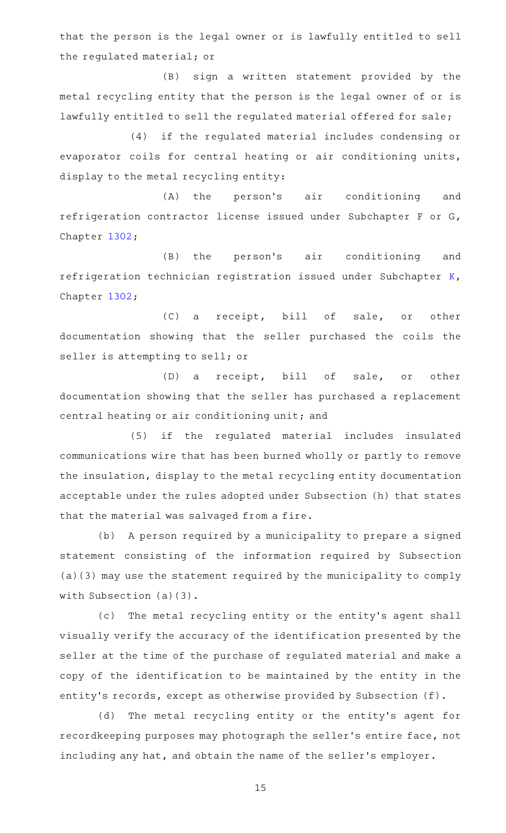that the person is the legal owner or is lawfully entitled to sell the regulated material; or

(B) sign a written statement provided by the metal recycling entity that the person is the legal owner of or is lawfully entitled to sell the regulated material offered for sale;

(4) if the regulated material includes condensing or evaporator coils for central heating or air conditioning units, display to the metal recycling entity:

(A) the person's air conditioning and refrigeration contractor license issued under Subchapter F or G, Chapter [1302](https://statutes.capitol.texas.gov/GetStatute.aspx?Code=OC&Value=1302);

(B) the person's air conditioning and refrigeration technician registration issued under Subchapter [K](https://statutes.capitol.texas.gov/GetStatute.aspx?Code=OC&Value=1302.501), Chapter [1302](https://statutes.capitol.texas.gov/GetStatute.aspx?Code=OC&Value=1302);

(C) a receipt, bill of sale, or other documentation showing that the seller purchased the coils the seller is attempting to sell; or

(D) a receipt, bill of sale, or other documentation showing that the seller has purchased a replacement central heating or air conditioning unit; and

(5) if the regulated material includes insulated communications wire that has been burned wholly or partly to remove the insulation, display to the metal recycling entity documentation acceptable under the rules adopted under Subsection (h) that states that the material was salvaged from a fire.

(b) A person required by a municipality to prepare a signed statement consisting of the information required by Subsection (a)(3) may use the statement required by the municipality to comply with Subsection (a)(3).

(c) The metal recycling entity or the entity's agent shall visually verify the accuracy of the identification presented by the seller at the time of the purchase of regulated material and make a copy of the identification to be maintained by the entity in the entity's records, except as otherwise provided by Subsection (f).

(d) The metal recycling entity or the entity's agent for recordkeeping purposes may photograph the seller 's entire face, not including any hat, and obtain the name of the seller 's employer.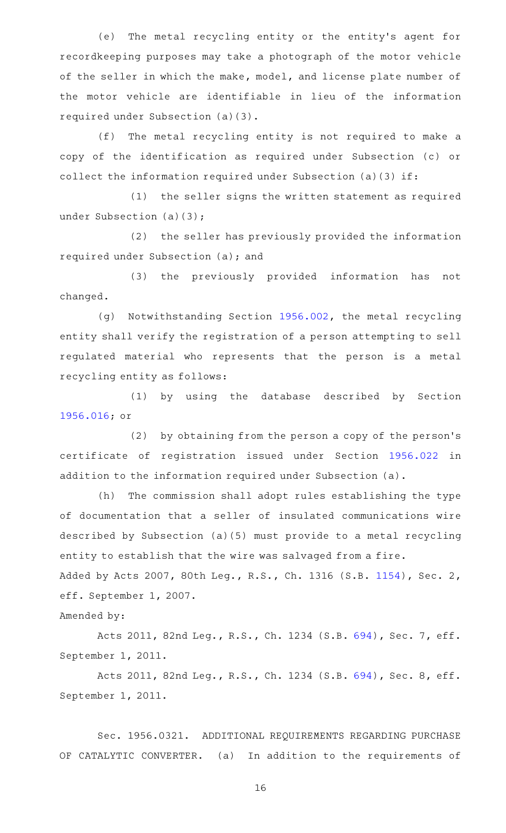(e) The metal recycling entity or the entity's agent for recordkeeping purposes may take a photograph of the motor vehicle of the seller in which the make, model, and license plate number of the motor vehicle are identifiable in lieu of the information required under Subsection (a)(3).

(f) The metal recycling entity is not required to make a copy of the identification as required under Subsection (c) or collect the information required under Subsection (a)(3) if:

(1) the seller signs the written statement as required under Subsection (a)(3);

(2) the seller has previously provided the information required under Subsection (a); and

(3) the previously provided information has not changed.

(g) Notwithstanding Section [1956.002,](https://statutes.capitol.texas.gov/GetStatute.aspx?Code=OC&Value=1956.002) the metal recycling entity shall verify the registration of a person attempting to sell regulated material who represents that the person is a metal recycling entity as follows:

(1) by using the database described by Section [1956.016](https://statutes.capitol.texas.gov/GetStatute.aspx?Code=OC&Value=1956.016); or

(2) by obtaining from the person a copy of the person's certificate of registration issued under Section [1956.022](https://statutes.capitol.texas.gov/GetStatute.aspx?Code=OC&Value=1956.022) in addition to the information required under Subsection (a).

(h) The commission shall adopt rules establishing the type of documentation that a seller of insulated communications wire described by Subsection (a)(5) must provide to a metal recycling entity to establish that the wire was salvaged from a fire. Added by Acts 2007, 80th Leg., R.S., Ch. 1316 (S.B. [1154\)](http://www.legis.state.tx.us/tlodocs/80R/billtext/html/SB01154F.HTM), Sec. 2,

Amended by:

eff. September 1, 2007.

Acts 2011, 82nd Leg., R.S., Ch. 1234 (S.B. [694](http://www.legis.state.tx.us/tlodocs/82R/billtext/html/SB00694F.HTM)), Sec. 7, eff. September 1, 2011.

Acts 2011, 82nd Leg., R.S., Ch. 1234 (S.B. [694](http://www.legis.state.tx.us/tlodocs/82R/billtext/html/SB00694F.HTM)), Sec. 8, eff. September 1, 2011.

Sec. 1956.0321. ADDITIONAL REQUIREMENTS REGARDING PURCHASE OF CATALYTIC CONVERTER. (a) In addition to the requirements of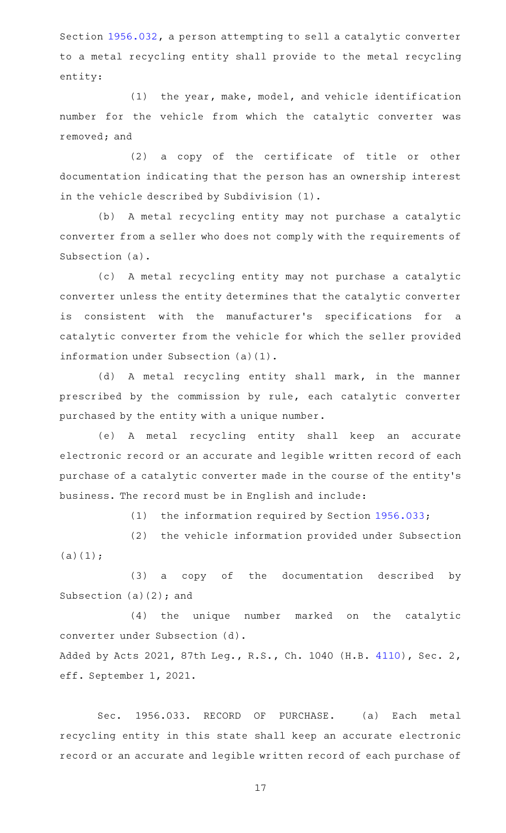Section [1956.032,](https://statutes.capitol.texas.gov/GetStatute.aspx?Code=OC&Value=1956.032) a person attempting to sell a catalytic converter to a metal recycling entity shall provide to the metal recycling entity:

(1) the year, make, model, and vehicle identification number for the vehicle from which the catalytic converter was removed; and

 $(2)$  a copy of the certificate of title or other documentation indicating that the person has an ownership interest in the vehicle described by Subdivision (1).

(b) A metal recycling entity may not purchase a catalytic converter from a seller who does not comply with the requirements of Subsection (a).

(c)AAA metal recycling entity may not purchase a catalytic converter unless the entity determines that the catalytic converter is consistent with the manufacturer's specifications for a catalytic converter from the vehicle for which the seller provided information under Subsection (a)(1).

(d) A metal recycling entity shall mark, in the manner prescribed by the commission by rule, each catalytic converter purchased by the entity with a unique number.

(e)AAA metal recycling entity shall keep an accurate electronic record or an accurate and legible written record of each purchase of a catalytic converter made in the course of the entity 's business. The record must be in English and include:

(1) the information required by Section  $1956.033$ ;

(2) the vehicle information provided under Subsection  $(a)(1);$ 

(3) a copy of the documentation described by Subsection  $(a)(2)$ ; and

(4) the unique number marked on the catalytic converter under Subsection (d).

Added by Acts 2021, 87th Leg., R.S., Ch. 1040 (H.B. [4110\)](http://www.legis.state.tx.us/tlodocs/87R/billtext/html/HB04110F.HTM), Sec. 2, eff. September 1, 2021.

Sec. 1956.033. RECORD OF PURCHASE. (a) Each metal recycling entity in this state shall keep an accurate electronic record or an accurate and legible written record of each purchase of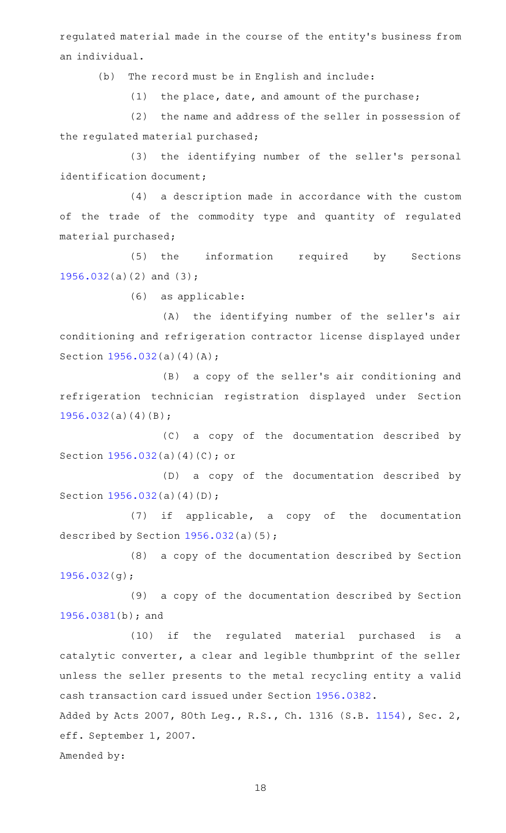regulated material made in the course of the entity 's business from an individual.

(b) The record must be in English and include:

 $(1)$  the place, date, and amount of the purchase;

(2) the name and address of the seller in possession of the regulated material purchased;

(3) the identifying number of the seller's personal identification document;

(4) a description made in accordance with the custom of the trade of the commodity type and quantity of regulated material purchased;

(5) the information required by Sections [1956.032](https://statutes.capitol.texas.gov/GetStatute.aspx?Code=OC&Value=1956.032)(a)(2) and (3);

(6) as applicable:

(A) the identifying number of the seller's air conditioning and refrigeration contractor license displayed under Section [1956.032](https://statutes.capitol.texas.gov/GetStatute.aspx?Code=OC&Value=1956.032)(a)(4)(A);

(B) a copy of the seller's air conditioning and refrigeration technician registration displayed under Section [1956.032](https://statutes.capitol.texas.gov/GetStatute.aspx?Code=OC&Value=1956.032)(a)(4)(B);

(C) a copy of the documentation described by Section [1956.032](https://statutes.capitol.texas.gov/GetStatute.aspx?Code=OC&Value=1956.032)(a)(4)(C); or

(D) a copy of the documentation described by Section [1956.032](https://statutes.capitol.texas.gov/GetStatute.aspx?Code=OC&Value=1956.032)(a)(4)(D);

 $(7)$  if applicable, a copy of the documentation described by Section [1956.032](https://statutes.capitol.texas.gov/GetStatute.aspx?Code=OC&Value=1956.032)(a)(5);

(8) a copy of the documentation described by Section [1956.032](https://statutes.capitol.texas.gov/GetStatute.aspx?Code=OC&Value=1956.032)(g);

(9) a copy of the documentation described by Section [1956.0381\(](https://statutes.capitol.texas.gov/GetStatute.aspx?Code=OC&Value=1956.0381)b); and

(10) if the regulated material purchased is a catalytic converter, a clear and legible thumbprint of the seller unless the seller presents to the metal recycling entity a valid cash transaction card issued under Section [1956.0382](https://statutes.capitol.texas.gov/GetStatute.aspx?Code=OC&Value=1956.0382).

Added by Acts 2007, 80th Leg., R.S., Ch. 1316 (S.B. [1154\)](http://www.legis.state.tx.us/tlodocs/80R/billtext/html/SB01154F.HTM), Sec. 2, eff. September 1, 2007.

Amended by: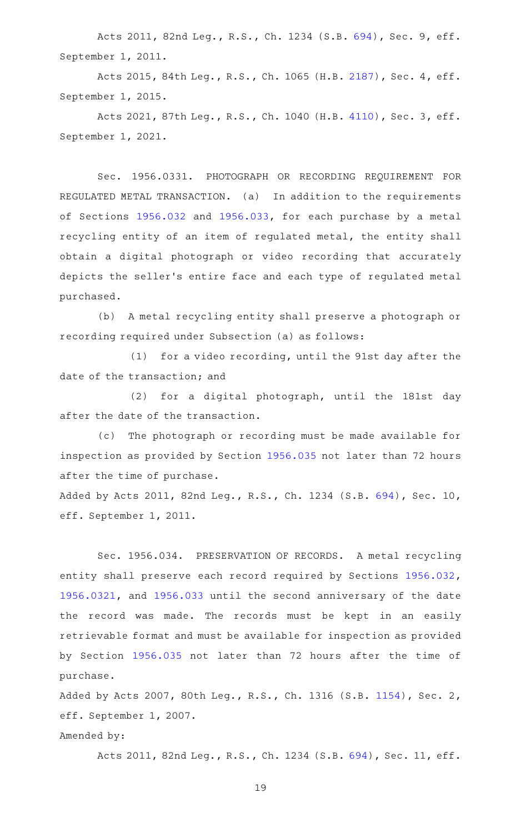Acts 2011, 82nd Leg., R.S., Ch. 1234 (S.B. [694](http://www.legis.state.tx.us/tlodocs/82R/billtext/html/SB00694F.HTM)), Sec. 9, eff. September 1, 2011.

Acts 2015, 84th Leg., R.S., Ch. 1065 (H.B. [2187](http://www.legis.state.tx.us/tlodocs/84R/billtext/html/HB02187F.HTM)), Sec. 4, eff. September 1, 2015.

Acts 2021, 87th Leg., R.S., Ch. 1040 (H.B. [4110](http://www.legis.state.tx.us/tlodocs/87R/billtext/html/HB04110F.HTM)), Sec. 3, eff. September 1, 2021.

Sec. 1956.0331. PHOTOGRAPH OR RECORDING REQUIREMENT FOR REGULATED METAL TRANSACTION. (a) In addition to the requirements of Sections [1956.032](https://statutes.capitol.texas.gov/GetStatute.aspx?Code=OC&Value=1956.032) and [1956.033](https://statutes.capitol.texas.gov/GetStatute.aspx?Code=OC&Value=1956.033), for each purchase by a metal recycling entity of an item of regulated metal, the entity shall obtain a digital photograph or video recording that accurately depicts the seller 's entire face and each type of regulated metal purchased.

(b) A metal recycling entity shall preserve a photograph or recording required under Subsection (a) as follows:

(1) for a video recording, until the 91st day after the date of the transaction; and

(2) for a digital photograph, until the 181st day after the date of the transaction.

(c) The photograph or recording must be made available for inspection as provided by Section [1956.035](https://statutes.capitol.texas.gov/GetStatute.aspx?Code=OC&Value=1956.035) not later than 72 hours after the time of purchase.

Added by Acts 2011, 82nd Leg., R.S., Ch. 1234 (S.B. [694\)](http://www.legis.state.tx.us/tlodocs/82R/billtext/html/SB00694F.HTM), Sec. 10, eff. September 1, 2011.

Sec. 1956.034. PRESERVATION OF RECORDS. A metal recycling entity shall preserve each record required by Sections [1956.032](https://statutes.capitol.texas.gov/GetStatute.aspx?Code=OC&Value=1956.032), [1956.0321,](https://statutes.capitol.texas.gov/GetStatute.aspx?Code=OC&Value=1956.0321) and [1956.033](https://statutes.capitol.texas.gov/GetStatute.aspx?Code=OC&Value=1956.033) until the second anniversary of the date the record was made. The records must be kept in an easily retrievable format and must be available for inspection as provided by Section [1956.035](https://statutes.capitol.texas.gov/GetStatute.aspx?Code=OC&Value=1956.035) not later than 72 hours after the time of purchase.

Added by Acts 2007, 80th Leg., R.S., Ch. 1316 (S.B. [1154\)](http://www.legis.state.tx.us/tlodocs/80R/billtext/html/SB01154F.HTM), Sec. 2, eff. September 1, 2007.

Amended by:

Acts 2011, 82nd Leg., R.S., Ch. 1234 (S.B. [694\)](http://www.legis.state.tx.us/tlodocs/82R/billtext/html/SB00694F.HTM), Sec. 11, eff.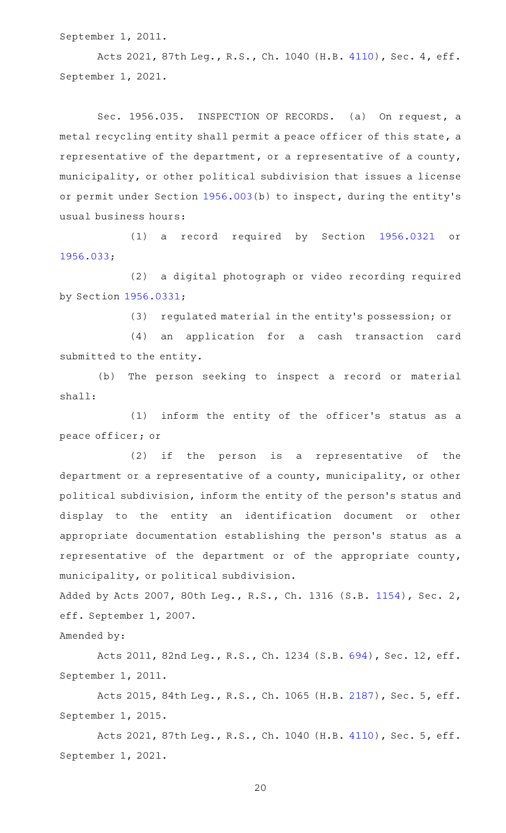September 1, 2011.

Acts 2021, 87th Leg., R.S., Ch. 1040 (H.B. [4110](http://www.legis.state.tx.us/tlodocs/87R/billtext/html/HB04110F.HTM)), Sec. 4, eff. September 1, 2021.

Sec. 1956.035. INSPECTION OF RECORDS. (a) On request, a metal recycling entity shall permit a peace officer of this state, a representative of the department, or a representative of a county, municipality, or other political subdivision that issues a license or permit under Section [1956.003](https://statutes.capitol.texas.gov/GetStatute.aspx?Code=OC&Value=1956.003)(b) to inspect, during the entity 's usual business hours:

(1) a record required by Section [1956.0321](https://statutes.capitol.texas.gov/GetStatute.aspx?Code=OC&Value=1956.0321) or [1956.033](https://statutes.capitol.texas.gov/GetStatute.aspx?Code=OC&Value=1956.033);

(2) a digital photograph or video recording required by Section [1956.0331;](https://statutes.capitol.texas.gov/GetStatute.aspx?Code=OC&Value=1956.0331)

(3) regulated material in the entity's possession; or

(4) an application for a cash transaction card submitted to the entity.

(b) The person seeking to inspect a record or material shall:

(1) inform the entity of the officer's status as a peace officer; or

 $(2)$  if the person is a representative of the department or a representative of a county, municipality, or other political subdivision, inform the entity of the person 's status and display to the entity an identification document or other appropriate documentation establishing the person's status as a representative of the department or of the appropriate county, municipality, or political subdivision.

Added by Acts 2007, 80th Leg., R.S., Ch. 1316 (S.B. [1154\)](http://www.legis.state.tx.us/tlodocs/80R/billtext/html/SB01154F.HTM), Sec. 2, eff. September 1, 2007.

Amended by:

Acts 2011, 82nd Leg., R.S., Ch. 1234 (S.B. [694\)](http://www.legis.state.tx.us/tlodocs/82R/billtext/html/SB00694F.HTM), Sec. 12, eff. September 1, 2011.

Acts 2015, 84th Leg., R.S., Ch. 1065 (H.B. [2187](http://www.legis.state.tx.us/tlodocs/84R/billtext/html/HB02187F.HTM)), Sec. 5, eff. September 1, 2015.

Acts 2021, 87th Leg., R.S., Ch. 1040 (H.B. [4110](http://www.legis.state.tx.us/tlodocs/87R/billtext/html/HB04110F.HTM)), Sec. 5, eff. September 1, 2021.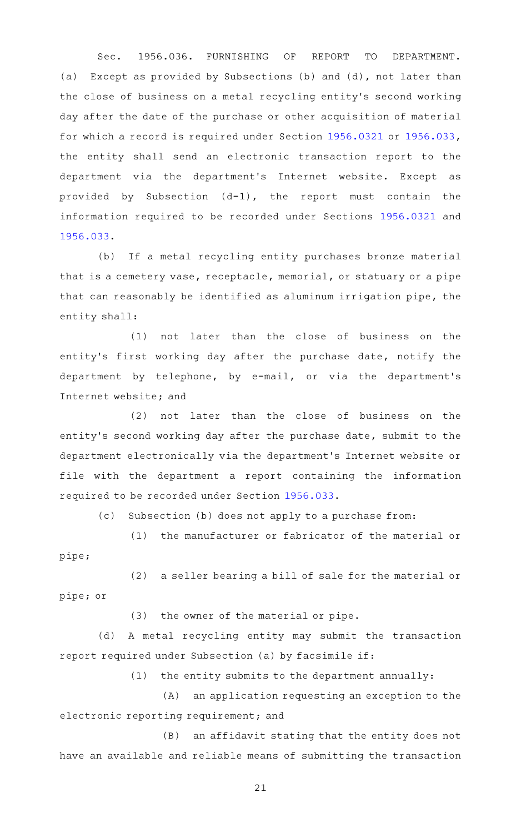Sec. 1956.036. FURNISHING OF REPORT TO DEPARTMENT. (a) Except as provided by Subsections (b) and (d), not later than the close of business on a metal recycling entity 's second working day after the date of the purchase or other acquisition of material for which a record is required under Section [1956.0321](https://statutes.capitol.texas.gov/GetStatute.aspx?Code=OC&Value=1956.0321) or [1956.033](https://statutes.capitol.texas.gov/GetStatute.aspx?Code=OC&Value=1956.033), the entity shall send an electronic transaction report to the department via the department's Internet website. Except as provided by Subsection (d-1), the report must contain the information required to be recorded under Sections [1956.0321](https://statutes.capitol.texas.gov/GetStatute.aspx?Code=OC&Value=1956.0321) and [1956.033](https://statutes.capitol.texas.gov/GetStatute.aspx?Code=OC&Value=1956.033).

(b) If a metal recycling entity purchases bronze material that is a cemetery vase, receptacle, memorial, or statuary or a pipe that can reasonably be identified as aluminum irrigation pipe, the entity shall:

 $(1)$  not later than the close of business on the entity's first working day after the purchase date, notify the department by telephone, by e-mail, or via the department 's Internet website; and

(2) not later than the close of business on the entity 's second working day after the purchase date, submit to the department electronically via the department 's Internet website or file with the department a report containing the information required to be recorded under Section [1956.033](https://statutes.capitol.texas.gov/GetStatute.aspx?Code=OC&Value=1956.033).

(c) Subsection (b) does not apply to a purchase from:

(1) the manufacturer or fabricator of the material or pipe;

(2) a seller bearing a bill of sale for the material or pipe; or

 $(3)$  the owner of the material or pipe.

(d) A metal recycling entity may submit the transaction report required under Subsection (a) by facsimile if:

 $(1)$  the entity submits to the department annually:

(A) an application requesting an exception to the electronic reporting requirement; and

(B) an affidavit stating that the entity does not have an available and reliable means of submitting the transaction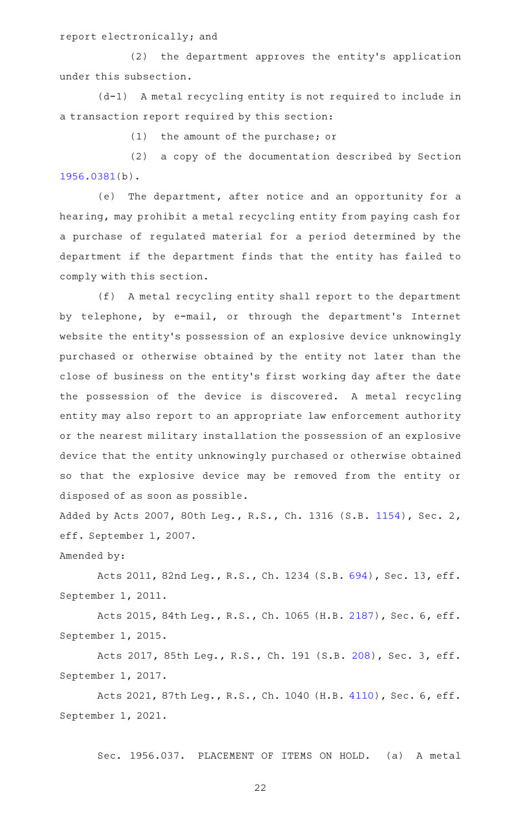report electronically; and

(2) the department approves the entity's application under this subsection.

(d-1) A metal recycling entity is not required to include in a transaction report required by this section:

 $(1)$  the amount of the purchase; or

(2) a copy of the documentation described by Section [1956.0381\(](https://statutes.capitol.texas.gov/GetStatute.aspx?Code=OC&Value=1956.0381)b).

(e) The department, after notice and an opportunity for a hearing, may prohibit a metal recycling entity from paying cash for a purchase of regulated material for a period determined by the department if the department finds that the entity has failed to comply with this section.

(f) A metal recycling entity shall report to the department by telephone, by e-mail, or through the department 's Internet website the entity's possession of an explosive device unknowingly purchased or otherwise obtained by the entity not later than the close of business on the entity 's first working day after the date the possession of the device is discovered. A metal recycling entity may also report to an appropriate law enforcement authority or the nearest military installation the possession of an explosive device that the entity unknowingly purchased or otherwise obtained so that the explosive device may be removed from the entity or disposed of as soon as possible.

Added by Acts 2007, 80th Leg., R.S., Ch. 1316 (S.B. [1154\)](http://www.legis.state.tx.us/tlodocs/80R/billtext/html/SB01154F.HTM), Sec. 2, eff. September 1, 2007.

Amended by:

Acts 2011, 82nd Leg., R.S., Ch. 1234 (S.B. [694\)](http://www.legis.state.tx.us/tlodocs/82R/billtext/html/SB00694F.HTM), Sec. 13, eff. September 1, 2011.

Acts 2015, 84th Leg., R.S., Ch. 1065 (H.B. [2187](http://www.legis.state.tx.us/tlodocs/84R/billtext/html/HB02187F.HTM)), Sec. 6, eff. September 1, 2015.

Acts 2017, 85th Leg., R.S., Ch. 191 (S.B. [208](http://www.legis.state.tx.us/tlodocs/85R/billtext/html/SB00208F.HTM)), Sec. 3, eff. September 1, 2017.

Acts 2021, 87th Leg., R.S., Ch. 1040 (H.B. [4110](http://www.legis.state.tx.us/tlodocs/87R/billtext/html/HB04110F.HTM)), Sec. 6, eff. September 1, 2021.

Sec. 1956.037. PLACEMENT OF ITEMS ON HOLD. (a) A metal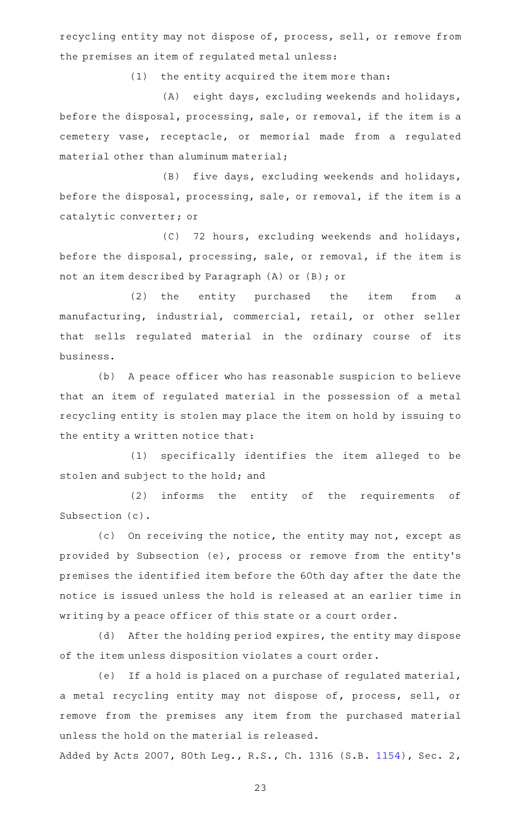recycling entity may not dispose of, process, sell, or remove from the premises an item of regulated metal unless:

 $(1)$  the entity acquired the item more than:

(A) eight days, excluding weekends and holidays, before the disposal, processing, sale, or removal, if the item is a cemetery vase, receptacle, or memorial made from a regulated material other than aluminum material;

(B) five days, excluding weekends and holidays, before the disposal, processing, sale, or removal, if the item is a catalytic converter; or

(C) 72 hours, excluding weekends and holidays, before the disposal, processing, sale, or removal, if the item is not an item described by Paragraph (A) or (B); or

(2) the entity purchased the item from a manufacturing, industrial, commercial, retail, or other seller that sells regulated material in the ordinary course of its business.

(b) A peace officer who has reasonable suspicion to believe that an item of regulated material in the possession of a metal recycling entity is stolen may place the item on hold by issuing to the entity a written notice that:

(1) specifically identifies the item alleged to be stolen and subject to the hold; and

(2) informs the entity of the requirements of Subsection (c).

(c) On receiving the notice, the entity may not, except as provided by Subsection (e), process or remove from the entity 's premises the identified item before the 60th day after the date the notice is issued unless the hold is released at an earlier time in writing by a peace officer of this state or a court order.

(d) After the holding period expires, the entity may dispose of the item unless disposition violates a court order.

(e) If a hold is placed on a purchase of regulated material, a metal recycling entity may not dispose of, process, sell, or remove from the premises any item from the purchased material unless the hold on the material is released.

Added by Acts 2007, 80th Leg., R.S., Ch. 1316 (S.B. [1154\)](http://www.legis.state.tx.us/tlodocs/80R/billtext/html/SB01154F.HTM), Sec. 2,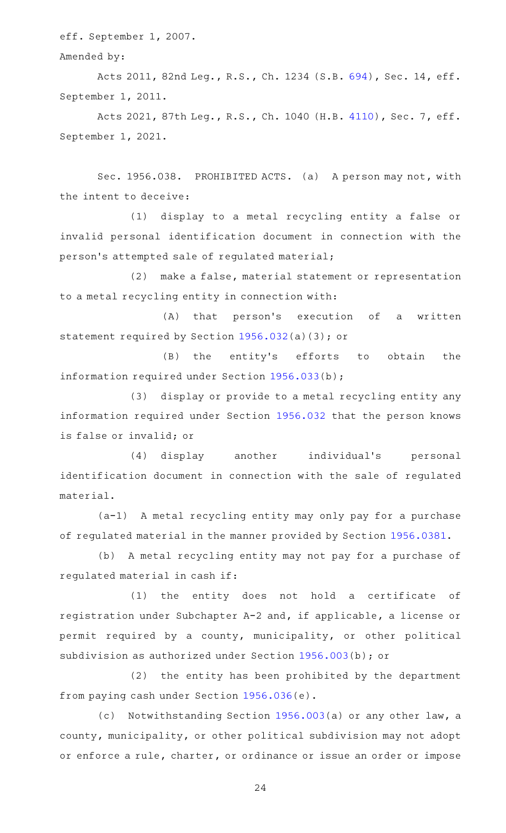eff. September 1, 2007.

Amended by:

Acts 2011, 82nd Leg., R.S., Ch. 1234 (S.B. [694\)](http://www.legis.state.tx.us/tlodocs/82R/billtext/html/SB00694F.HTM), Sec. 14, eff. September 1, 2011.

Acts 2021, 87th Leg., R.S., Ch. 1040 (H.B. [4110](http://www.legis.state.tx.us/tlodocs/87R/billtext/html/HB04110F.HTM)), Sec. 7, eff. September 1, 2021.

Sec. 1956.038. PROHIBITED ACTS. (a) A person may not, with the intent to deceive:

(1) display to a metal recycling entity a false or invalid personal identification document in connection with the person 's attempted sale of regulated material;

(2) make a false, material statement or representation to a metal recycling entity in connection with:

 $(A)$  that person's execution of a written statement required by Section [1956.032\(](https://statutes.capitol.texas.gov/GetStatute.aspx?Code=OC&Value=1956.032)a)(3); or

(B) the entity's efforts to obtain the information required under Section [1956.033\(](https://statutes.capitol.texas.gov/GetStatute.aspx?Code=OC&Value=1956.033)b);

(3) display or provide to a metal recycling entity any information required under Section [1956.032](https://statutes.capitol.texas.gov/GetStatute.aspx?Code=OC&Value=1956.032) that the person knows is false or invalid; or

(4) display another individual's personal identification document in connection with the sale of regulated material.

(a-1) A metal recycling entity may only pay for a purchase of regulated material in the manner provided by Section [1956.0381.](https://statutes.capitol.texas.gov/GetStatute.aspx?Code=OC&Value=1956.0381)

(b) A metal recycling entity may not pay for a purchase of regulated material in cash if:

 $(1)$  the entity does not hold a certificate of registration under Subchapter A-2 and, if applicable, a license or permit required by a county, municipality, or other political subdivision as authorized under Section [1956.003\(](https://statutes.capitol.texas.gov/GetStatute.aspx?Code=OC&Value=1956.003)b); or

(2) the entity has been prohibited by the department from paying cash under Section [1956.036\(](https://statutes.capitol.texas.gov/GetStatute.aspx?Code=OC&Value=1956.036)e).

(c) Notwithstanding Section [1956.003](https://statutes.capitol.texas.gov/GetStatute.aspx?Code=OC&Value=1956.003)(a) or any other law, a county, municipality, or other political subdivision may not adopt or enforce a rule, charter, or ordinance or issue an order or impose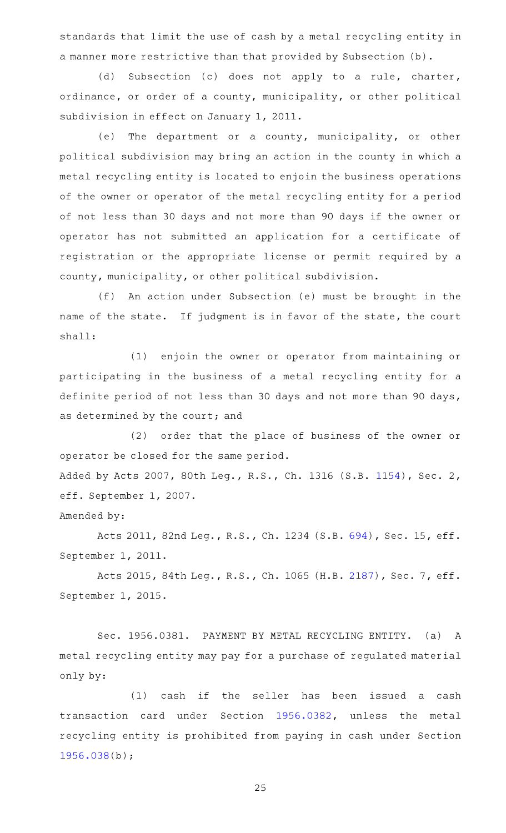standards that limit the use of cash by a metal recycling entity in a manner more restrictive than that provided by Subsection (b).

(d) Subsection (c) does not apply to a rule, charter, ordinance, or order of a county, municipality, or other political subdivision in effect on January 1, 2011.

(e) The department or a county, municipality, or other political subdivision may bring an action in the county in which a metal recycling entity is located to enjoin the business operations of the owner or operator of the metal recycling entity for a period of not less than 30 days and not more than 90 days if the owner or operator has not submitted an application for a certificate of registration or the appropriate license or permit required by a county, municipality, or other political subdivision.

(f) An action under Subsection (e) must be brought in the name of the state. If judgment is in favor of the state, the court shall:

(1) enjoin the owner or operator from maintaining or participating in the business of a metal recycling entity for a definite period of not less than 30 days and not more than 90 days, as determined by the court; and

(2) order that the place of business of the owner or operator be closed for the same period. Added by Acts 2007, 80th Leg., R.S., Ch. 1316 (S.B. [1154\)](http://www.legis.state.tx.us/tlodocs/80R/billtext/html/SB01154F.HTM), Sec. 2, eff. September 1, 2007.

Amended by:

Acts 2011, 82nd Leg., R.S., Ch. 1234 (S.B. [694\)](http://www.legis.state.tx.us/tlodocs/82R/billtext/html/SB00694F.HTM), Sec. 15, eff. September 1, 2011.

Acts 2015, 84th Leg., R.S., Ch. 1065 (H.B. [2187](http://www.legis.state.tx.us/tlodocs/84R/billtext/html/HB02187F.HTM)), Sec. 7, eff. September 1, 2015.

Sec. 1956.0381. PAYMENT BY METAL RECYCLING ENTITY. (a) A metal recycling entity may pay for a purchase of regulated material only by:

(1) cash if the seller has been issued a cash transaction card under Section [1956.0382](https://statutes.capitol.texas.gov/GetStatute.aspx?Code=OC&Value=1956.0382), unless the metal recycling entity is prohibited from paying in cash under Section [1956.038](https://statutes.capitol.texas.gov/GetStatute.aspx?Code=OC&Value=1956.038)(b);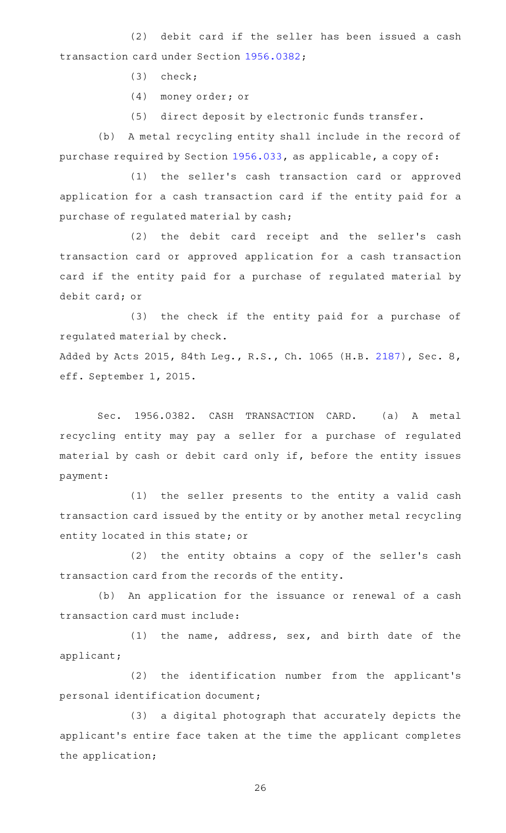(2) debit card if the seller has been issued a cash transaction card under Section [1956.0382;](https://statutes.capitol.texas.gov/GetStatute.aspx?Code=OC&Value=1956.0382)

- $(3)$  check;
- (4) money order; or
- (5) direct deposit by electronic funds transfer.

(b) A metal recycling entity shall include in the record of purchase required by Section [1956.033](https://statutes.capitol.texas.gov/GetStatute.aspx?Code=OC&Value=1956.033), as applicable, a copy of:

(1) the seller's cash transaction card or approved application for a cash transaction card if the entity paid for a purchase of regulated material by cash;

(2) the debit card receipt and the seller's cash transaction card or approved application for a cash transaction card if the entity paid for a purchase of regulated material by debit card; or

(3) the check if the entity paid for a purchase of regulated material by check.

Added by Acts 2015, 84th Leg., R.S., Ch. 1065 (H.B. [2187\)](http://www.legis.state.tx.us/tlodocs/84R/billtext/html/HB02187F.HTM), Sec. 8, eff. September 1, 2015.

Sec. 1956.0382. CASH TRANSACTION CARD. (a) A metal recycling entity may pay a seller for a purchase of regulated material by cash or debit card only if, before the entity issues payment:

(1) the seller presents to the entity a valid cash transaction card issued by the entity or by another metal recycling entity located in this state; or

(2) the entity obtains a copy of the seller's cash transaction card from the records of the entity.

(b) An application for the issuance or renewal of a cash transaction card must include:

 $(1)$  the name, address, sex, and birth date of the applicant;

(2) the identification number from the applicant's personal identification document;

(3) a digital photograph that accurately depicts the applicant 's entire face taken at the time the applicant completes the application;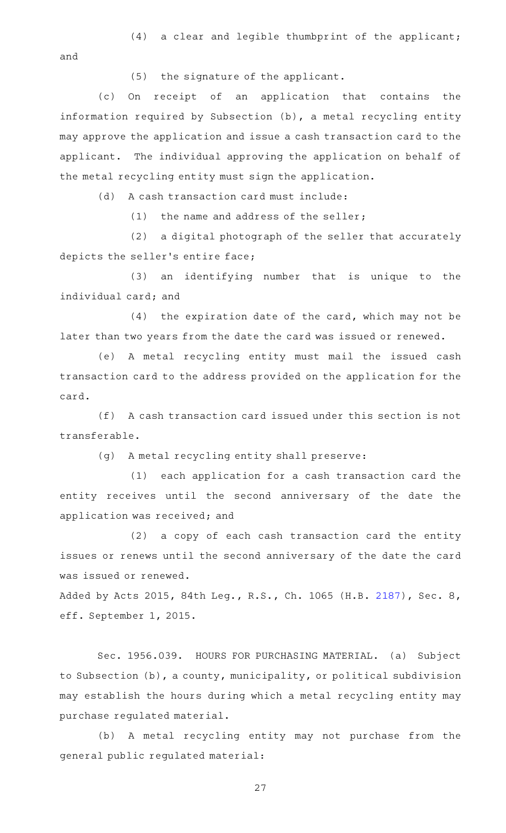$(4)$  a clear and legible thumbprint of the applicant; and

(5) the signature of the applicant.

(c) On receipt of an application that contains the information required by Subsection (b), a metal recycling entity may approve the application and issue a cash transaction card to the applicant. The individual approving the application on behalf of the metal recycling entity must sign the application.

(d) A cash transaction card must include:

(1) the name and address of the seller;

(2) a digital photograph of the seller that accurately depicts the seller 's entire face;

(3) an identifying number that is unique to the individual card; and

 $(4)$  the expiration date of the card, which may not be later than two years from the date the card was issued or renewed.

(e) A metal recycling entity must mail the issued cash transaction card to the address provided on the application for the card.

(f) A cash transaction card issued under this section is not transferable.

(g) A metal recycling entity shall preserve:

(1) each application for a cash transaction card the entity receives until the second anniversary of the date the application was received; and

(2) a copy of each cash transaction card the entity issues or renews until the second anniversary of the date the card was issued or renewed.

Added by Acts 2015, 84th Leg., R.S., Ch. 1065 (H.B. [2187\)](http://www.legis.state.tx.us/tlodocs/84R/billtext/html/HB02187F.HTM), Sec. 8, eff. September 1, 2015.

Sec. 1956.039. HOURS FOR PURCHASING MATERIAL. (a) Subject to Subsection (b), a county, municipality, or political subdivision may establish the hours during which a metal recycling entity may purchase regulated material.

(b) A metal recycling entity may not purchase from the general public regulated material: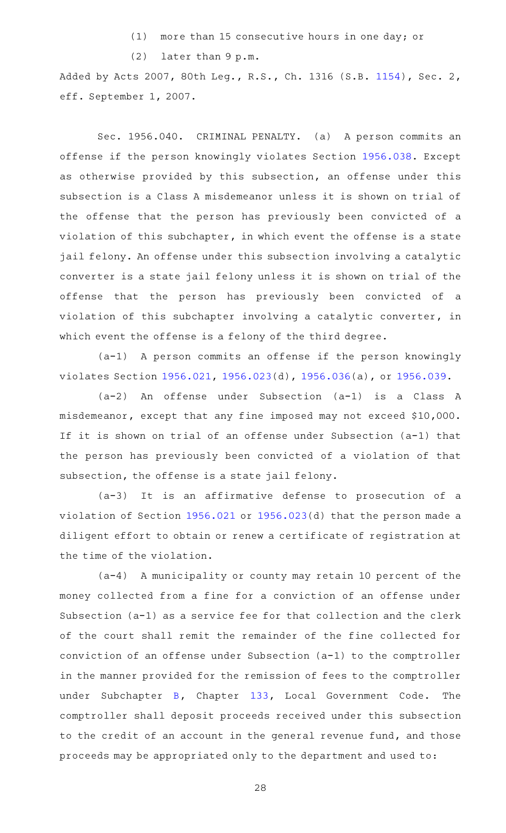$(1)$  more than 15 consecutive hours in one day; or

 $(2)$  later than 9 p.m.

Added by Acts 2007, 80th Leg., R.S., Ch. 1316 (S.B. [1154\)](http://www.legis.state.tx.us/tlodocs/80R/billtext/html/SB01154F.HTM), Sec. 2, eff. September 1, 2007.

Sec. 1956.040. CRIMINAL PENALTY. (a) A person commits an offense if the person knowingly violates Section [1956.038](https://statutes.capitol.texas.gov/GetStatute.aspx?Code=OC&Value=1956.038). Except as otherwise provided by this subsection, an offense under this subsection is a Class A misdemeanor unless it is shown on trial of the offense that the person has previously been convicted of a violation of this subchapter, in which event the offense is a state jail felony. An offense under this subsection involving a catalytic converter is a state jail felony unless it is shown on trial of the offense that the person has previously been convicted of a violation of this subchapter involving a catalytic converter, in which event the offense is a felony of the third degree.

(a-1) A person commits an offense if the person knowingly violates Section [1956.021,](https://statutes.capitol.texas.gov/GetStatute.aspx?Code=OC&Value=1956.021) [1956.023\(](https://statutes.capitol.texas.gov/GetStatute.aspx?Code=OC&Value=1956.023)d), [1956.036](https://statutes.capitol.texas.gov/GetStatute.aspx?Code=OC&Value=1956.036)(a), or [1956.039.](https://statutes.capitol.texas.gov/GetStatute.aspx?Code=OC&Value=1956.039)

(a-2) An offense under Subsection (a-1) is a Class A misdemeanor, except that any fine imposed may not exceed \$10,000. If it is shown on trial of an offense under Subsection (a-1) that the person has previously been convicted of a violation of that subsection, the offense is a state jail felony.

 $(a-3)$  It is an affirmative defense to prosecution of a violation of Section [1956.021](https://statutes.capitol.texas.gov/GetStatute.aspx?Code=OC&Value=1956.021) or [1956.023\(](https://statutes.capitol.texas.gov/GetStatute.aspx?Code=OC&Value=1956.023)d) that the person made a diligent effort to obtain or renew a certificate of registration at the time of the violation.

 $(a-4)$  A municipality or county may retain 10 percent of the money collected from a fine for a conviction of an offense under Subsection (a-1) as a service fee for that collection and the clerk of the court shall remit the remainder of the fine collected for conviction of an offense under Subsection (a-1) to the comptroller in the manner provided for the remission of fees to the comptroller under Subchapter  $B$ , Chapter  $133$ , Local Government Code. The comptroller shall deposit proceeds received under this subsection to the credit of an account in the general revenue fund, and those proceeds may be appropriated only to the department and used to: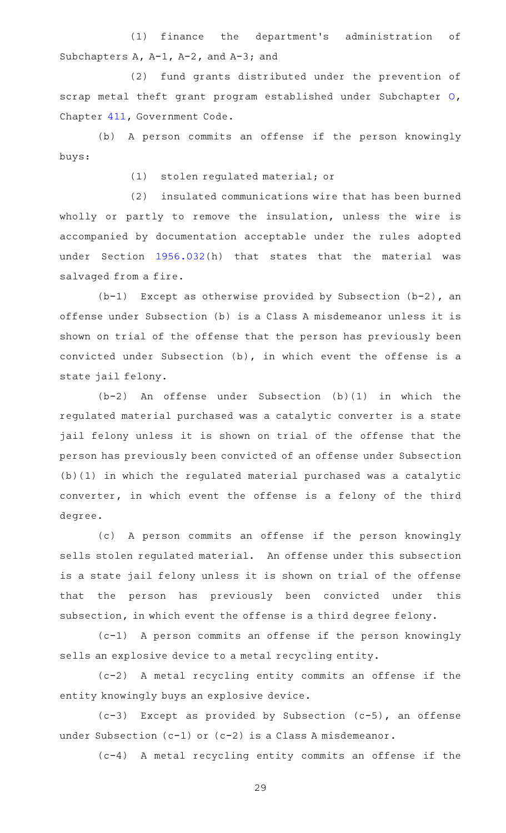(1) finance the department's administration of Subchapters A, A-1, A-2, and A-3; and

(2) fund grants distributed under the prevention of scrap metal theft grant program established under Subchapter [O](https://statutes.capitol.texas.gov/GetStatute.aspx?Code=GV&Value=411.421), Chapter [411,](https://statutes.capitol.texas.gov/GetStatute.aspx?Code=GV&Value=411) Government Code.

(b) A person commits an offense if the person knowingly buys:

(1) stolen regulated material; or

(2) insulated communications wire that has been burned wholly or partly to remove the insulation, unless the wire is accompanied by documentation acceptable under the rules adopted under Section [1956.032](https://statutes.capitol.texas.gov/GetStatute.aspx?Code=OC&Value=1956.032)(h) that states that the material was salvaged from a fire.

 $(b-1)$  Except as otherwise provided by Subsection (b-2), an offense under Subsection (b) is a Class A misdemeanor unless it is shown on trial of the offense that the person has previously been convicted under Subsection (b), in which event the offense is a state jail felony.

 $(b-2)$  An offense under Subsection  $(b)(1)$  in which the regulated material purchased was a catalytic converter is a state jail felony unless it is shown on trial of the offense that the person has previously been convicted of an offense under Subsection (b)(1) in which the regulated material purchased was a catalytic converter, in which event the offense is a felony of the third degree.

(c) A person commits an offense if the person knowingly sells stolen regulated material. An offense under this subsection is a state jail felony unless it is shown on trial of the offense that the person has previously been convicted under this subsection, in which event the offense is a third degree felony.

 $(c-1)$  A person commits an offense if the person knowingly sells an explosive device to a metal recycling entity.

(c-2)AAA metal recycling entity commits an offense if the entity knowingly buys an explosive device.

 $(c-3)$  Except as provided by Subsection  $(c-5)$ , an offense under Subsection (c-1) or (c-2) is a Class A misdemeanor.

(c-4)AAA metal recycling entity commits an offense if the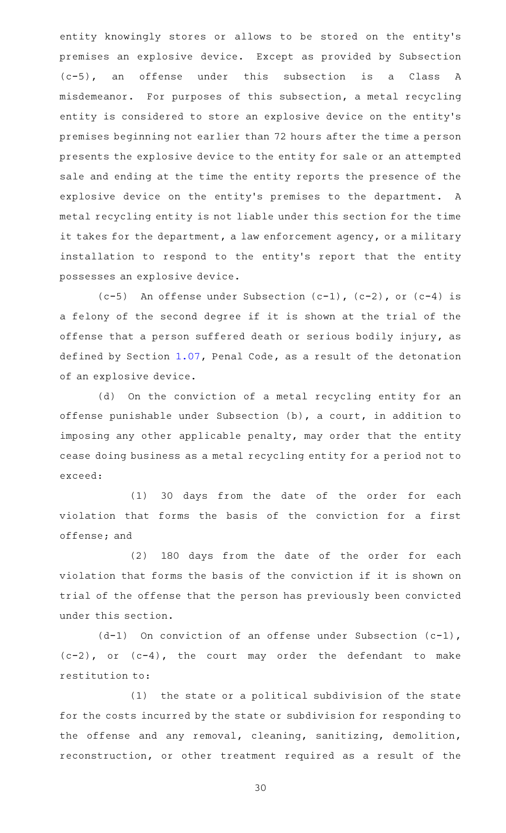entity knowingly stores or allows to be stored on the entity's premises an explosive device. Except as provided by Subsection (c-5), an offense under this subsection is a Class A misdemeanor. For purposes of this subsection, a metal recycling entity is considered to store an explosive device on the entity 's premises beginning not earlier than 72 hours after the time a person presents the explosive device to the entity for sale or an attempted sale and ending at the time the entity reports the presence of the explosive device on the entity's premises to the department. A metal recycling entity is not liable under this section for the time it takes for the department, a law enforcement agency, or a military installation to respond to the entity 's report that the entity possesses an explosive device.

 $(c-5)$  An offense under Subsection  $(c-1)$ ,  $(c-2)$ , or  $(c-4)$  is a felony of the second degree if it is shown at the trial of the offense that a person suffered death or serious bodily injury, as defined by Section [1.07](https://statutes.capitol.texas.gov/GetStatute.aspx?Code=PE&Value=1.07), Penal Code, as a result of the detonation of an explosive device.

(d) On the conviction of a metal recycling entity for an offense punishable under Subsection (b), a court, in addition to imposing any other applicable penalty, may order that the entity cease doing business as a metal recycling entity for a period not to exceed:

(1) 30 days from the date of the order for each violation that forms the basis of the conviction for a first offense; and

(2) 180 days from the date of the order for each violation that forms the basis of the conviction if it is shown on trial of the offense that the person has previously been convicted under this section.

 $(d-1)$  On conviction of an offense under Subsection (c-1), (c-2), or (c-4), the court may order the defendant to make restitution to:

 $(1)$  the state or a political subdivision of the state for the costs incurred by the state or subdivision for responding to the offense and any removal, cleaning, sanitizing, demolition, reconstruction, or other treatment required as a result of the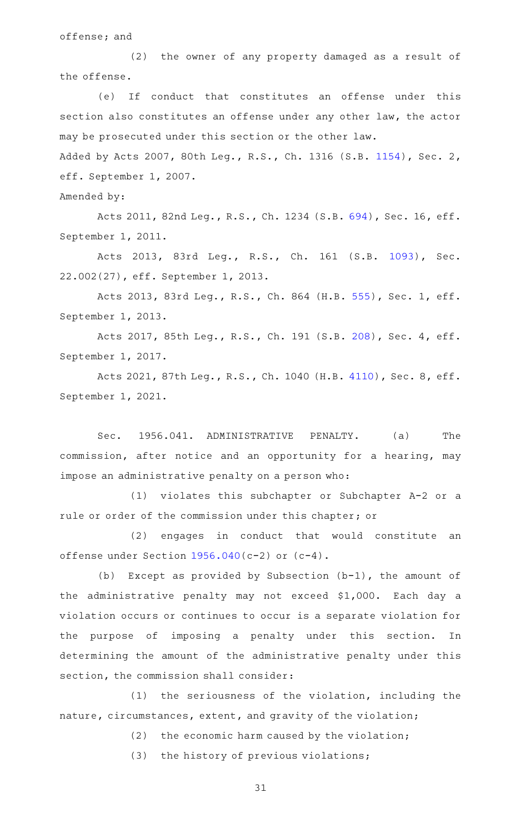offense; and

(2) the owner of any property damaged as a result of the offense.

(e) If conduct that constitutes an offense under this section also constitutes an offense under any other law, the actor may be prosecuted under this section or the other law.

Added by Acts 2007, 80th Leg., R.S., Ch. 1316 (S.B. [1154\)](http://www.legis.state.tx.us/tlodocs/80R/billtext/html/SB01154F.HTM), Sec. 2, eff. September 1, 2007.

Amended by:

Acts 2011, 82nd Leg., R.S., Ch. 1234 (S.B. [694\)](http://www.legis.state.tx.us/tlodocs/82R/billtext/html/SB00694F.HTM), Sec. 16, eff. September 1, 2011.

Acts 2013, 83rd Leg., R.S., Ch. 161 (S.B. [1093\)](http://www.legis.state.tx.us/tlodocs/83R/billtext/html/SB01093F.HTM), Sec. 22.002(27), eff. September 1, 2013.

Acts 2013, 83rd Leg., R.S., Ch. 864 (H.B. [555](http://www.legis.state.tx.us/tlodocs/83R/billtext/html/HB00555F.HTM)), Sec. 1, eff. September 1, 2013.

Acts 2017, 85th Leg., R.S., Ch. 191 (S.B. [208](http://www.legis.state.tx.us/tlodocs/85R/billtext/html/SB00208F.HTM)), Sec. 4, eff. September 1, 2017.

Acts 2021, 87th Leg., R.S., Ch. 1040 (H.B. [4110](http://www.legis.state.tx.us/tlodocs/87R/billtext/html/HB04110F.HTM)), Sec. 8, eff. September 1, 2021.

Sec. 1956.041. ADMINISTRATIVE PENALTY. (a) The commission, after notice and an opportunity for a hearing, may impose an administrative penalty on a person who:

 $(1)$  violates this subchapter or Subchapter A-2 or a rule or order of the commission under this chapter; or

(2) engages in conduct that would constitute an offense under Section [1956.040\(](https://statutes.capitol.texas.gov/GetStatute.aspx?Code=OC&Value=1956.040)c-2) or (c-4).

(b) Except as provided by Subsection  $(b-1)$ , the amount of the administrative penalty may not exceed \$1,000. Each day a violation occurs or continues to occur is a separate violation for the purpose of imposing a penalty under this section. In determining the amount of the administrative penalty under this section, the commission shall consider:

 $(1)$  the seriousness of the violation, including the nature, circumstances, extent, and gravity of the violation;

 $(2)$  the economic harm caused by the violation;

(3) the history of previous violations;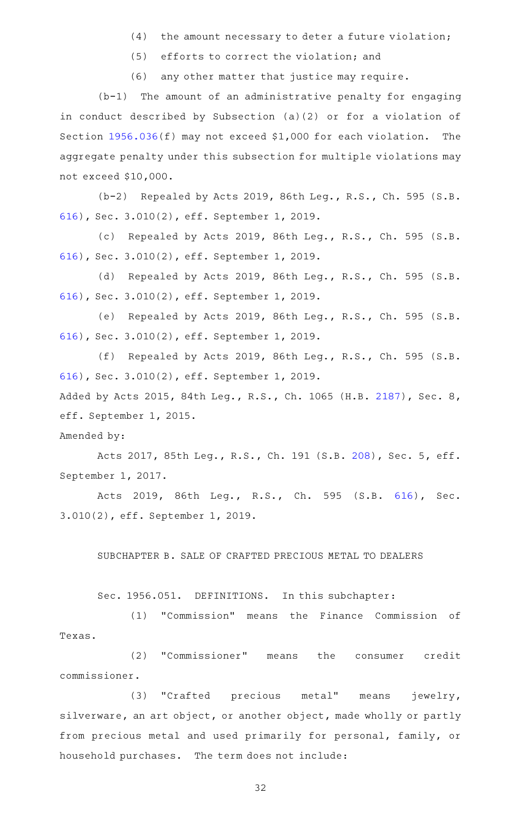- $(4)$  the amount necessary to deter a future violation;
- $(5)$  efforts to correct the violation; and
- (6) any other matter that justice may require.

 $(b-1)$  The amount of an administrative penalty for engaging in conduct described by Subsection (a)(2) or for a violation of Section  $1956.036(f)$  $1956.036(f)$  may not exceed \$1,000 for each violation. The aggregate penalty under this subsection for multiple violations may not exceed \$10,000.

 $(b-2)$  Repealed by Acts 2019, 86th Leg., R.S., Ch. 595 (S.B. [616\)](http://www.legis.state.tx.us/tlodocs/86R/billtext/html/SB00616F.HTM), Sec. 3.010(2), eff. September 1, 2019.

(c) Repealed by Acts 2019, 86th Leg., R.S., Ch. 595 (S.B. [616\)](http://www.legis.state.tx.us/tlodocs/86R/billtext/html/SB00616F.HTM), Sec. 3.010(2), eff. September 1, 2019.

(d) Repealed by Acts 2019, 86th Leg., R.S., Ch. 595 (S.B. [616\)](http://www.legis.state.tx.us/tlodocs/86R/billtext/html/SB00616F.HTM), Sec. 3.010(2), eff. September 1, 2019.

(e) Repealed by Acts 2019, 86th Leg., R.S., Ch. 595 (S.B. [616\)](http://www.legis.state.tx.us/tlodocs/86R/billtext/html/SB00616F.HTM), Sec. 3.010(2), eff. September 1, 2019.

(f) Repealed by Acts 2019, 86th Leg., R.S., Ch. 595 (S.B. [616\)](http://www.legis.state.tx.us/tlodocs/86R/billtext/html/SB00616F.HTM), Sec. 3.010(2), eff. September 1, 2019. Added by Acts 2015, 84th Leg., R.S., Ch. 1065 (H.B. [2187\)](http://www.legis.state.tx.us/tlodocs/84R/billtext/html/HB02187F.HTM), Sec. 8,

eff. September 1, 2015.

Amended by:

Acts 2017, 85th Leg., R.S., Ch. 191 (S.B. [208](http://www.legis.state.tx.us/tlodocs/85R/billtext/html/SB00208F.HTM)), Sec. 5, eff. September 1, 2017.

Acts 2019, 86th Leg., R.S., Ch. 595 (S.B. [616\)](http://www.legis.state.tx.us/tlodocs/86R/billtext/html/SB00616F.HTM), Sec. 3.010(2), eff. September 1, 2019.

SUBCHAPTER B. SALE OF CRAFTED PRECIOUS METAL TO DEALERS

Sec. 1956.051. DEFINITIONS. In this subchapter:

(1) "Commission" means the Finance Commission of Texas.

(2) "Commissioner" means the consumer credit commissioner.

(3) "Crafted precious metal" means jewelry, silverware, an art object, or another object, made wholly or partly from precious metal and used primarily for personal, family, or household purchases. The term does not include: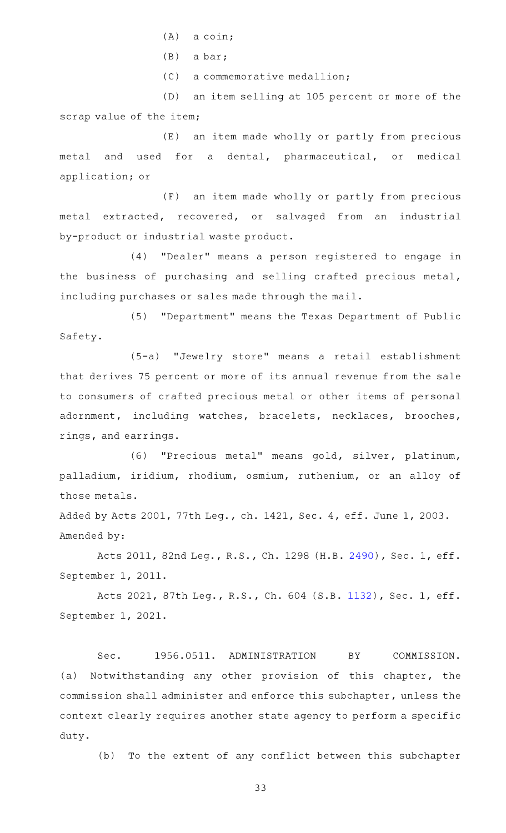- $(A)$  a coin;
- $(B)$  a bar;
- $(C)$  a commemorative medallion;

(D) an item selling at 105 percent or more of the scrap value of the item;

(E) an item made wholly or partly from precious metal and used for a dental, pharmaceutical, or medical application; or

(F) an item made wholly or partly from precious metal extracted, recovered, or salvaged from an industrial by-product or industrial waste product.

(4) "Dealer" means a person registered to engage in the business of purchasing and selling crafted precious metal, including purchases or sales made through the mail.

(5) "Department" means the Texas Department of Public Safety.

(5-a) "Jewelry store" means a retail establishment that derives 75 percent or more of its annual revenue from the sale to consumers of crafted precious metal or other items of personal adornment, including watches, bracelets, necklaces, brooches, rings, and earrings.

(6) "Precious metal" means gold, silver, platinum, palladium, iridium, rhodium, osmium, ruthenium, or an alloy of those metals.

Added by Acts 2001, 77th Leg., ch. 1421, Sec. 4, eff. June 1, 2003. Amended by:

Acts 2011, 82nd Leg., R.S., Ch. 1298 (H.B. [2490](http://www.legis.state.tx.us/tlodocs/82R/billtext/html/HB02490F.HTM)), Sec. 1, eff. September 1, 2011.

Acts 2021, 87th Leg., R.S., Ch. 604 (S.B. [1132](http://www.legis.state.tx.us/tlodocs/87R/billtext/html/SB01132F.HTM)), Sec. 1, eff. September 1, 2021.

Sec. 1956.0511. ADMINISTRATION BY COMMISSION. (a) Notwithstanding any other provision of this chapter, the commission shall administer and enforce this subchapter, unless the context clearly requires another state agency to perform a specific duty.

(b) To the extent of any conflict between this subchapter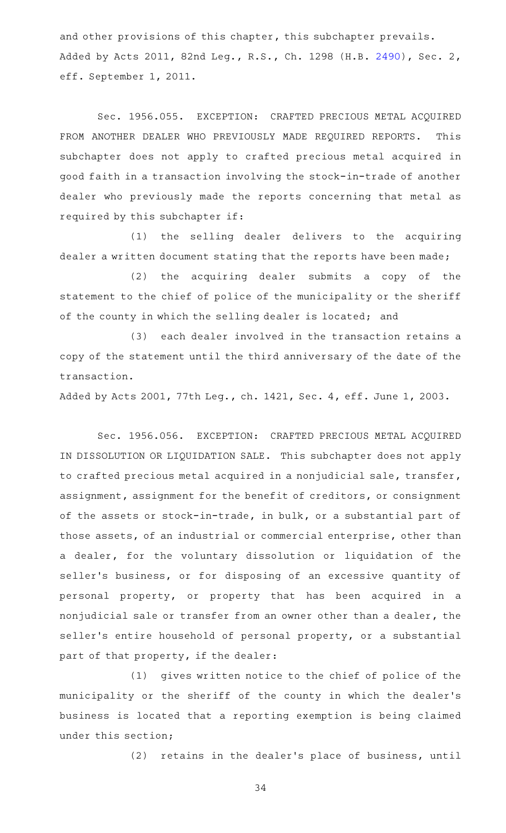and other provisions of this chapter, this subchapter prevails. Added by Acts 2011, 82nd Leg., R.S., Ch. 1298 (H.B. [2490\)](http://www.legis.state.tx.us/tlodocs/82R/billtext/html/HB02490F.HTM), Sec. 2, eff. September 1, 2011.

Sec. 1956.055. EXCEPTION: CRAFTED PRECIOUS METAL ACQUIRED FROM ANOTHER DEALER WHO PREVIOUSLY MADE REQUIRED REPORTS. This subchapter does not apply to crafted precious metal acquired in good faith in a transaction involving the stock-in-trade of another dealer who previously made the reports concerning that metal as required by this subchapter if:

(1) the selling dealer delivers to the acquiring dealer a written document stating that the reports have been made;

(2) the acquiring dealer submits a copy of the statement to the chief of police of the municipality or the sheriff of the county in which the selling dealer is located; and

(3) each dealer involved in the transaction retains a copy of the statement until the third anniversary of the date of the transaction.

Added by Acts 2001, 77th Leg., ch. 1421, Sec. 4, eff. June 1, 2003.

Sec. 1956.056. EXCEPTION: CRAFTED PRECIOUS METAL ACQUIRED IN DISSOLUTION OR LIQUIDATION SALE. This subchapter does not apply to crafted precious metal acquired in a nonjudicial sale, transfer, assignment, assignment for the benefit of creditors, or consignment of the assets or stock-in-trade, in bulk, or a substantial part of those assets, of an industrial or commercial enterprise, other than a dealer, for the voluntary dissolution or liquidation of the seller 's business, or for disposing of an excessive quantity of personal property, or property that has been acquired in a nonjudicial sale or transfer from an owner other than a dealer, the seller's entire household of personal property, or a substantial part of that property, if the dealer:

(1) gives written notice to the chief of police of the municipality or the sheriff of the county in which the dealer 's business is located that a reporting exemption is being claimed under this section;

(2) retains in the dealer's place of business, until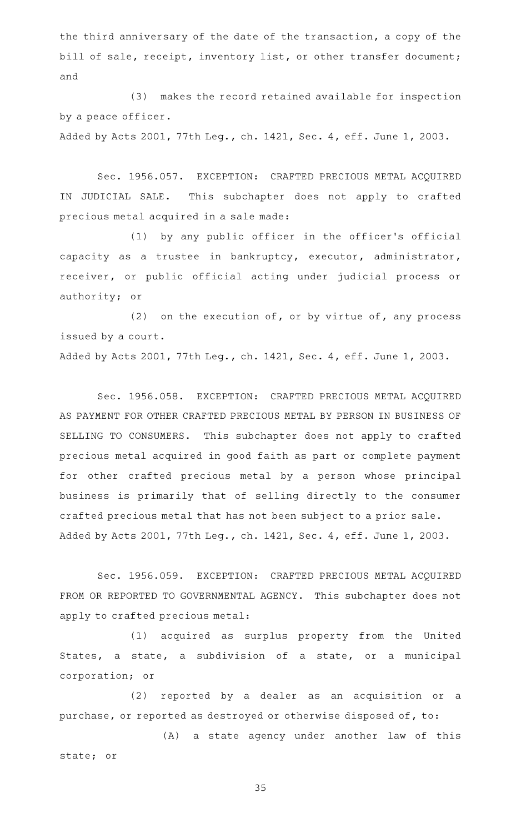the third anniversary of the date of the transaction, a copy of the bill of sale, receipt, inventory list, or other transfer document; and

(3) makes the record retained available for inspection by a peace officer.

Added by Acts 2001, 77th Leg., ch. 1421, Sec. 4, eff. June 1, 2003.

Sec. 1956.057. EXCEPTION: CRAFTED PRECIOUS METAL ACQUIRED IN JUDICIAL SALE. This subchapter does not apply to crafted precious metal acquired in a sale made:

(1) by any public officer in the officer's official capacity as a trustee in bankruptcy, executor, administrator, receiver, or public official acting under judicial process or authority; or

(2) on the execution of, or by virtue of, any process issued by a court.

Added by Acts 2001, 77th Leg., ch. 1421, Sec. 4, eff. June 1, 2003.

Sec. 1956.058. EXCEPTION: CRAFTED PRECIOUS METAL ACQUIRED AS PAYMENT FOR OTHER CRAFTED PRECIOUS METAL BY PERSON IN BUSINESS OF SELLING TO CONSUMERS. This subchapter does not apply to crafted precious metal acquired in good faith as part or complete payment for other crafted precious metal by a person whose principal business is primarily that of selling directly to the consumer crafted precious metal that has not been subject to a prior sale. Added by Acts 2001, 77th Leg., ch. 1421, Sec. 4, eff. June 1, 2003.

Sec. 1956.059. EXCEPTION: CRAFTED PRECIOUS METAL ACQUIRED FROM OR REPORTED TO GOVERNMENTAL AGENCY. This subchapter does not apply to crafted precious metal:

(1) acquired as surplus property from the United States, a state, a subdivision of a state, or a municipal corporation; or

(2) reported by a dealer as an acquisition or a purchase, or reported as destroyed or otherwise disposed of, to:

(A) a state agency under another law of this state; or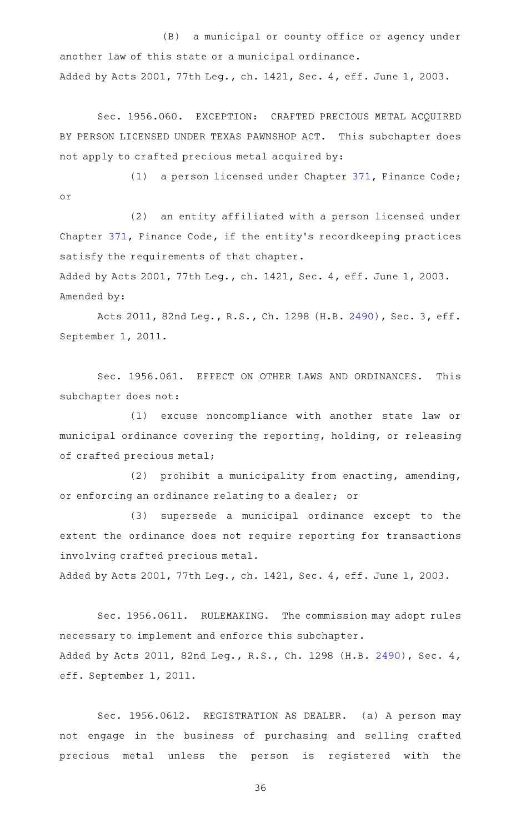(B) a municipal or county office or agency under another law of this state or a municipal ordinance. Added by Acts 2001, 77th Leg., ch. 1421, Sec. 4, eff. June 1, 2003.

Sec. 1956.060. EXCEPTION: CRAFTED PRECIOUS METAL ACQUIRED BY PERSON LICENSED UNDER TEXAS PAWNSHOP ACT. This subchapter does not apply to crafted precious metal acquired by:

(1) a person licensed under Chapter [371,](https://statutes.capitol.texas.gov/GetStatute.aspx?Code=FI&Value=371) Finance Code; or

(2) an entity affiliated with a person licensed under Chapter [371,](https://statutes.capitol.texas.gov/GetStatute.aspx?Code=FI&Value=371) Finance Code, if the entity 's recordkeeping practices satisfy the requirements of that chapter.

Added by Acts 2001, 77th Leg., ch. 1421, Sec. 4, eff. June 1, 2003. Amended by:

Acts 2011, 82nd Leg., R.S., Ch. 1298 (H.B. [2490](http://www.legis.state.tx.us/tlodocs/82R/billtext/html/HB02490F.HTM)), Sec. 3, eff. September 1, 2011.

Sec. 1956.061. EFFECT ON OTHER LAWS AND ORDINANCES. This subchapter does not:

(1) excuse noncompliance with another state law or municipal ordinance covering the reporting, holding, or releasing of crafted precious metal;

(2) prohibit a municipality from enacting, amending, or enforcing an ordinance relating to a dealer; or

(3) supersede a municipal ordinance except to the extent the ordinance does not require reporting for transactions involving crafted precious metal.

Added by Acts 2001, 77th Leg., ch. 1421, Sec. 4, eff. June 1, 2003.

Sec. 1956.0611. RULEMAKING. The commission may adopt rules necessary to implement and enforce this subchapter. Added by Acts 2011, 82nd Leg., R.S., Ch. 1298 (H.B. [2490\)](http://www.legis.state.tx.us/tlodocs/82R/billtext/html/HB02490F.HTM), Sec. 4, eff. September 1, 2011.

Sec. 1956.0612. REGISTRATION AS DEALER. (a) A person may not engage in the business of purchasing and selling crafted precious metal unless the person is registered with the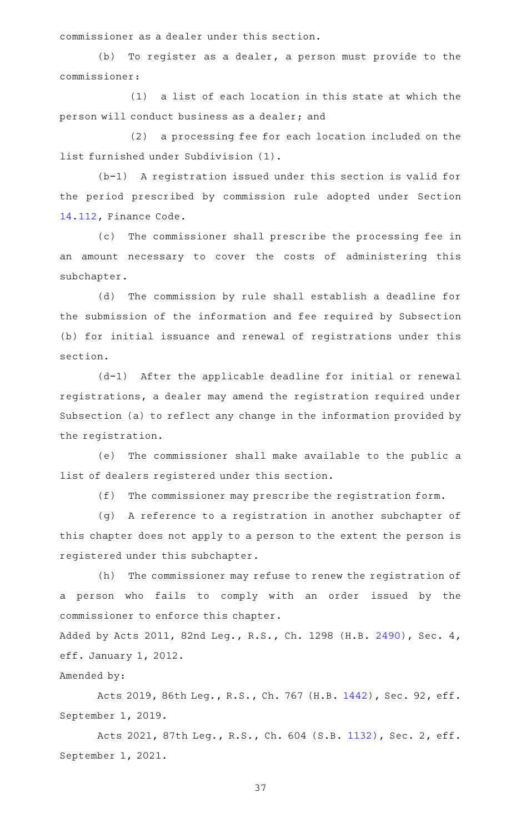commissioner as a dealer under this section.

(b) To register as a dealer, a person must provide to the commissioner:

 $(1)$  a list of each location in this state at which the person will conduct business as a dealer; and

(2) a processing fee for each location included on the list furnished under Subdivision (1).

(b-1) A registration issued under this section is valid for the period prescribed by commission rule adopted under Section [14.112](https://statutes.capitol.texas.gov/GetStatute.aspx?Code=FI&Value=14.112), Finance Code.

(c) The commissioner shall prescribe the processing fee in an amount necessary to cover the costs of administering this subchapter.

(d) The commission by rule shall establish a deadline for the submission of the information and fee required by Subsection (b) for initial issuance and renewal of registrations under this section.

(d-1) After the applicable deadline for initial or renewal registrations, a dealer may amend the registration required under Subsection (a) to reflect any change in the information provided by the registration.

(e) The commissioner shall make available to the public a list of dealers registered under this section.

(f) The commissioner may prescribe the registration form.

(g) A reference to a registration in another subchapter of this chapter does not apply to a person to the extent the person is registered under this subchapter.

(h) The commissioner may refuse to renew the registration of a person who fails to comply with an order issued by the commissioner to enforce this chapter.

Added by Acts 2011, 82nd Leg., R.S., Ch. 1298 (H.B. [2490\)](http://www.legis.state.tx.us/tlodocs/82R/billtext/html/HB02490F.HTM), Sec. 4, eff. January 1, 2012.

## Amended by:

Acts 2019, 86th Leg., R.S., Ch. 767 (H.B. [1442\)](http://www.legis.state.tx.us/tlodocs/86R/billtext/html/HB01442F.HTM), Sec. 92, eff. September 1, 2019.

Acts 2021, 87th Leg., R.S., Ch. 604 (S.B. [1132](http://www.legis.state.tx.us/tlodocs/87R/billtext/html/SB01132F.HTM)), Sec. 2, eff. September 1, 2021.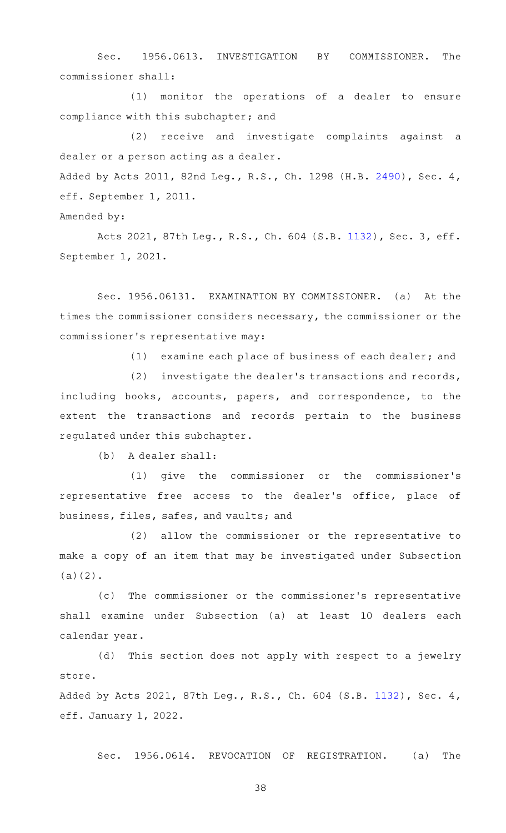Sec. 1956.0613. INVESTIGATION BY COMMISSIONER. The commissioner shall:

(1) monitor the operations of a dealer to ensure compliance with this subchapter; and

(2) receive and investigate complaints against a dealer or a person acting as a dealer. Added by Acts 2011, 82nd Leg., R.S., Ch. 1298 (H.B. [2490\)](http://www.legis.state.tx.us/tlodocs/82R/billtext/html/HB02490F.HTM), Sec. 4,

eff. September 1, 2011.

Amended by:

Acts 2021, 87th Leg., R.S., Ch. 604 (S.B. [1132](http://www.legis.state.tx.us/tlodocs/87R/billtext/html/SB01132F.HTM)), Sec. 3, eff. September 1, 2021.

Sec. 1956.06131. EXAMINATION BY COMMISSIONER. (a) At the times the commissioner considers necessary, the commissioner or the commissioner 's representative may:

(1) examine each place of business of each dealer; and

 $(2)$  investigate the dealer's transactions and records, including books, accounts, papers, and correspondence, to the extent the transactions and records pertain to the business regulated under this subchapter.

(b) A dealer shall:

(1) give the commissioner or the commissioner's representative free access to the dealer 's office, place of business, files, safes, and vaults; and

(2) allow the commissioner or the representative to make a copy of an item that may be investigated under Subsection (a)(2).

(c) The commissioner or the commissioner's representative shall examine under Subsection (a) at least 10 dealers each calendar year.

(d) This section does not apply with respect to a jewelry store.

Added by Acts 2021, 87th Leg., R.S., Ch. 604 (S.B. [1132](http://www.legis.state.tx.us/tlodocs/87R/billtext/html/SB01132F.HTM)), Sec. 4, eff. January 1, 2022.

Sec. 1956.0614. REVOCATION OF REGISTRATION. (a) The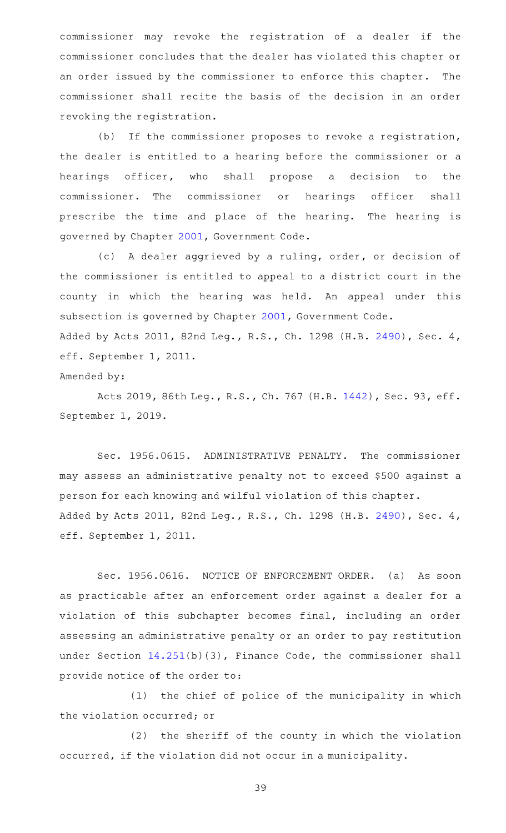commissioner may revoke the registration of a dealer if the commissioner concludes that the dealer has violated this chapter or an order issued by the commissioner to enforce this chapter. The commissioner shall recite the basis of the decision in an order revoking the registration.

(b) If the commissioner proposes to revoke a registration, the dealer is entitled to a hearing before the commissioner or a hearings officer, who shall propose a decision to the commissioner. The commissioner or hearings officer shall prescribe the time and place of the hearing. The hearing is governed by Chapter [2001,](https://statutes.capitol.texas.gov/GetStatute.aspx?Code=GV&Value=2001) Government Code.

(c)AAA dealer aggrieved by a ruling, order, or decision of the commissioner is entitled to appeal to a district court in the county in which the hearing was held. An appeal under this subsection is governed by Chapter [2001](https://statutes.capitol.texas.gov/GetStatute.aspx?Code=GV&Value=2001), Government Code. Added by Acts 2011, 82nd Leg., R.S., Ch. 1298 (H.B. [2490\)](http://www.legis.state.tx.us/tlodocs/82R/billtext/html/HB02490F.HTM), Sec. 4, eff. September 1, 2011.

Amended by:

Acts 2019, 86th Leg., R.S., Ch. 767 (H.B. [1442\)](http://www.legis.state.tx.us/tlodocs/86R/billtext/html/HB01442F.HTM), Sec. 93, eff. September 1, 2019.

Sec. 1956.0615. ADMINISTRATIVE PENALTY. The commissioner may assess an administrative penalty not to exceed \$500 against a person for each knowing and wilful violation of this chapter. Added by Acts 2011, 82nd Leg., R.S., Ch. 1298 (H.B. [2490\)](http://www.legis.state.tx.us/tlodocs/82R/billtext/html/HB02490F.HTM), Sec. 4, eff. September 1, 2011.

Sec. 1956.0616. NOTICE OF ENFORCEMENT ORDER. (a) As soon as practicable after an enforcement order against a dealer for a violation of this subchapter becomes final, including an order assessing an administrative penalty or an order to pay restitution under Section [14.251\(](https://statutes.capitol.texas.gov/GetStatute.aspx?Code=FI&Value=14.251)b)(3), Finance Code, the commissioner shall provide notice of the order to:

(1) the chief of police of the municipality in which the violation occurred; or

(2) the sheriff of the county in which the violation occurred, if the violation did not occur in a municipality.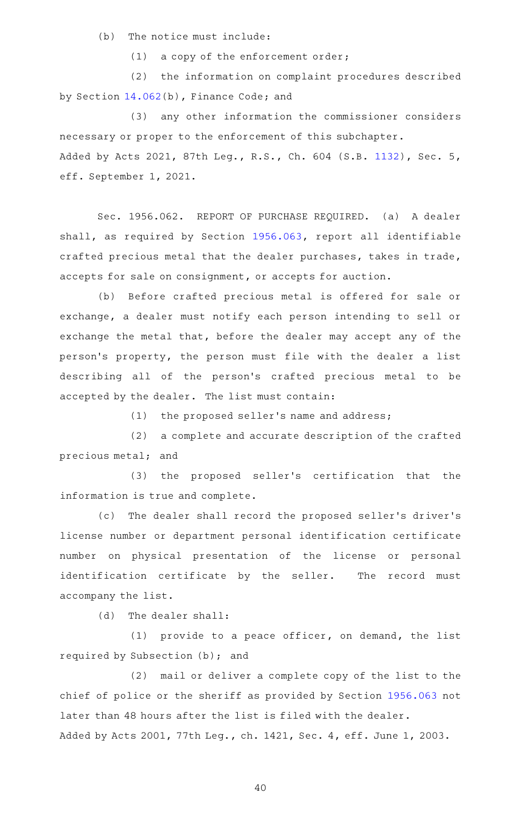$(b)$  The notice must include:

 $(1)$  a copy of the enforcement order;

(2) the information on complaint procedures described by Section [14.062](https://statutes.capitol.texas.gov/GetStatute.aspx?Code=FI&Value=14.062)(b), Finance Code; and

(3) any other information the commissioner considers necessary or proper to the enforcement of this subchapter. Added by Acts 2021, 87th Leg., R.S., Ch. 604 (S.B. [1132](http://www.legis.state.tx.us/tlodocs/87R/billtext/html/SB01132F.HTM)), Sec. 5, eff. September 1, 2021.

Sec. 1956.062. REPORT OF PURCHASE REQUIRED. (a) A dealer shall, as required by Section [1956.063](https://statutes.capitol.texas.gov/GetStatute.aspx?Code=OC&Value=1956.063), report all identifiable crafted precious metal that the dealer purchases, takes in trade, accepts for sale on consignment, or accepts for auction.

(b) Before crafted precious metal is offered for sale or exchange, a dealer must notify each person intending to sell or exchange the metal that, before the dealer may accept any of the person 's property, the person must file with the dealer a list describing all of the person 's crafted precious metal to be accepted by the dealer. The list must contain:

 $(1)$  the proposed seller's name and address;

(2) a complete and accurate description of the crafted precious metal; and

(3) the proposed seller's certification that the information is true and complete.

(c) The dealer shall record the proposed seller's driver's license number or department personal identification certificate number on physical presentation of the license or personal identification certificate by the seller. The record must accompany the list.

(d) The dealer shall:

 $(1)$  provide to a peace officer, on demand, the list required by Subsection (b); and

(2) mail or deliver a complete copy of the list to the chief of police or the sheriff as provided by Section [1956.063](https://statutes.capitol.texas.gov/GetStatute.aspx?Code=OC&Value=1956.063) not later than 48 hours after the list is filed with the dealer. Added by Acts 2001, 77th Leg., ch. 1421, Sec. 4, eff. June 1, 2003.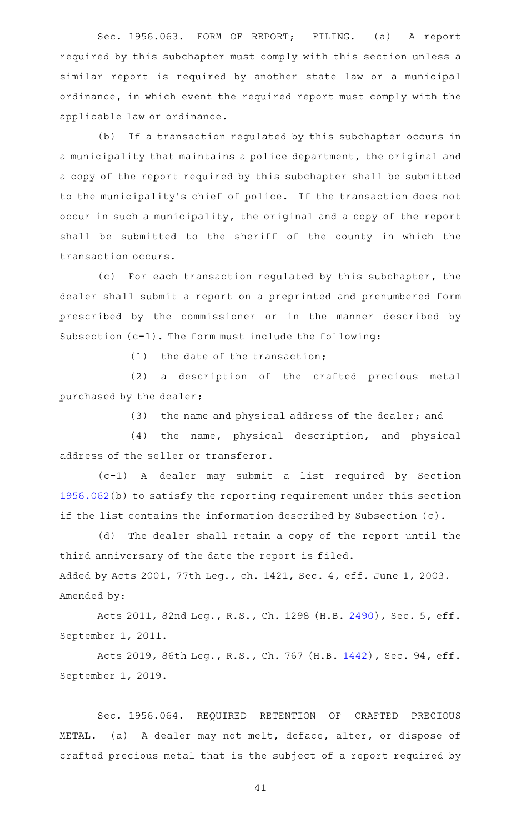Sec. 1956.063. FORM OF REPORT; FILING. (a) A report required by this subchapter must comply with this section unless a similar report is required by another state law or a municipal ordinance, in which event the required report must comply with the applicable law or ordinance.

(b) If a transaction regulated by this subchapter occurs in a municipality that maintains a police department, the original and a copy of the report required by this subchapter shall be submitted to the municipality 's chief of police. If the transaction does not occur in such a municipality, the original and a copy of the report shall be submitted to the sheriff of the county in which the transaction occurs.

(c) For each transaction regulated by this subchapter, the dealer shall submit a report on a preprinted and prenumbered form prescribed by the commissioner or in the manner described by Subsection (c-1). The form must include the following:

 $(1)$  the date of the transaction;

(2) a description of the crafted precious metal purchased by the dealer;

 $(3)$  the name and physical address of the dealer; and

(4) the name, physical description, and physical address of the seller or transferor.

(c-1)AAAAAdealer may submit a list required by Section [1956.062](https://statutes.capitol.texas.gov/GetStatute.aspx?Code=OC&Value=1956.062)(b) to satisfy the reporting requirement under this section if the list contains the information described by Subsection (c).

(d) The dealer shall retain a copy of the report until the third anniversary of the date the report is filed. Added by Acts 2001, 77th Leg., ch. 1421, Sec. 4, eff. June 1, 2003. Amended by:

Acts 2011, 82nd Leg., R.S., Ch. 1298 (H.B. [2490](http://www.legis.state.tx.us/tlodocs/82R/billtext/html/HB02490F.HTM)), Sec. 5, eff. September 1, 2011.

Acts 2019, 86th Leg., R.S., Ch. 767 (H.B. [1442\)](http://www.legis.state.tx.us/tlodocs/86R/billtext/html/HB01442F.HTM), Sec. 94, eff. September 1, 2019.

Sec. 1956.064. REQUIRED RETENTION OF CRAFTED PRECIOUS METAL. (a) A dealer may not melt, deface, alter, or dispose of crafted precious metal that is the subject of a report required by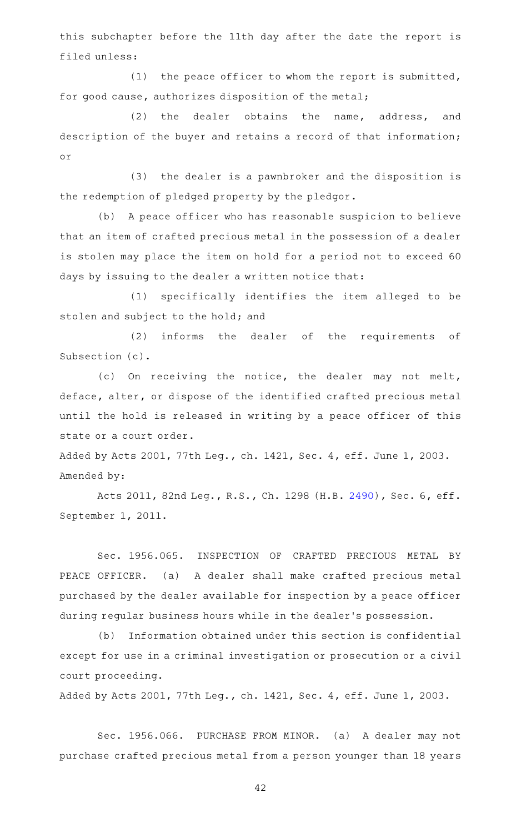this subchapter before the 11th day after the date the report is filed unless:

 $(1)$  the peace officer to whom the report is submitted, for good cause, authorizes disposition of the metal;

(2) the dealer obtains the name, address, and description of the buyer and retains a record of that information; or

(3) the dealer is a pawnbroker and the disposition is the redemption of pledged property by the pledgor.

(b) A peace officer who has reasonable suspicion to believe that an item of crafted precious metal in the possession of a dealer is stolen may place the item on hold for a period not to exceed 60 days by issuing to the dealer a written notice that:

(1) specifically identifies the item alleged to be stolen and subject to the hold; and

(2) informs the dealer of the requirements of Subsection (c).

(c) On receiving the notice, the dealer may not melt, deface, alter, or dispose of the identified crafted precious metal until the hold is released in writing by a peace officer of this state or a court order.

Added by Acts 2001, 77th Leg., ch. 1421, Sec. 4, eff. June 1, 2003. Amended by:

Acts 2011, 82nd Leg., R.S., Ch. 1298 (H.B. [2490](http://www.legis.state.tx.us/tlodocs/82R/billtext/html/HB02490F.HTM)), Sec. 6, eff. September 1, 2011.

Sec. 1956.065. INSPECTION OF CRAFTED PRECIOUS METAL BY PEACE OFFICER. (a) A dealer shall make crafted precious metal purchased by the dealer available for inspection by a peace officer during regular business hours while in the dealer 's possession.

(b) Information obtained under this section is confidential except for use in a criminal investigation or prosecution or a civil court proceeding.

Added by Acts 2001, 77th Leg., ch. 1421, Sec. 4, eff. June 1, 2003.

Sec. 1956.066. PURCHASE FROM MINOR. (a) A dealer may not purchase crafted precious metal from a person younger than 18 years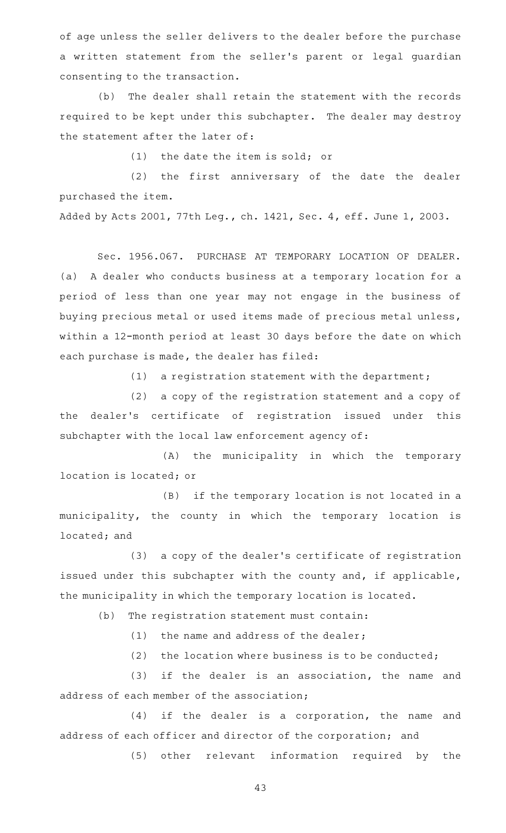of age unless the seller delivers to the dealer before the purchase a written statement from the seller 's parent or legal guardian consenting to the transaction.

(b) The dealer shall retain the statement with the records required to be kept under this subchapter. The dealer may destroy the statement after the later of:

 $(1)$  the date the item is sold; or

(2) the first anniversary of the date the dealer purchased the item.

Added by Acts 2001, 77th Leg., ch. 1421, Sec. 4, eff. June 1, 2003.

Sec. 1956.067. PURCHASE AT TEMPORARY LOCATION OF DEALER. (a) A dealer who conducts business at a temporary location for a period of less than one year may not engage in the business of buying precious metal or used items made of precious metal unless, within a 12-month period at least 30 days before the date on which each purchase is made, the dealer has filed:

 $(1)$  a registration statement with the department;

(2) a copy of the registration statement and a copy of the dealer 's certificate of registration issued under this subchapter with the local law enforcement agency of:

(A) the municipality in which the temporary location is located; or

(B) if the temporary location is not located in a municipality, the county in which the temporary location is located; and

 $(3)$  a copy of the dealer's certificate of registration issued under this subchapter with the county and, if applicable, the municipality in which the temporary location is located.

(b) The registration statement must contain:

 $(1)$  the name and address of the dealer;

(2) the location where business is to be conducted;

(3) if the dealer is an association, the name and address of each member of the association;

 $(4)$  if the dealer is a corporation, the name and address of each officer and director of the corporation; and

(5) other relevant information required by the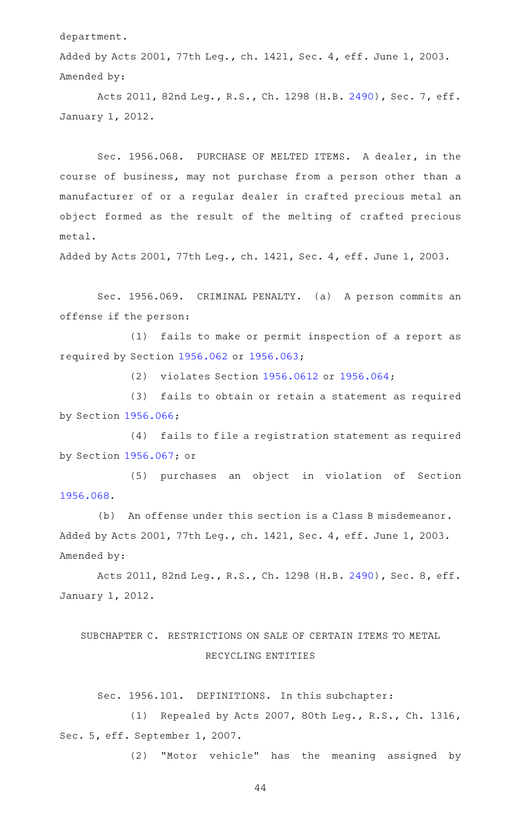department.

Added by Acts 2001, 77th Leg., ch. 1421, Sec. 4, eff. June 1, 2003. Amended by:

Acts 2011, 82nd Leg., R.S., Ch. 1298 (H.B. [2490](http://www.legis.state.tx.us/tlodocs/82R/billtext/html/HB02490F.HTM)), Sec. 7, eff. January 1, 2012.

Sec. 1956.068. PURCHASE OF MELTED ITEMS. A dealer, in the course of business, may not purchase from a person other than a manufacturer of or a regular dealer in crafted precious metal an object formed as the result of the melting of crafted precious metal.

Added by Acts 2001, 77th Leg., ch. 1421, Sec. 4, eff. June 1, 2003.

Sec. 1956.069. CRIMINAL PENALTY. (a) A person commits an offense if the person:

(1) fails to make or permit inspection of a report as required by Section [1956.062](https://statutes.capitol.texas.gov/GetStatute.aspx?Code=OC&Value=1956.062) or [1956.063](https://statutes.capitol.texas.gov/GetStatute.aspx?Code=OC&Value=1956.063);

(2) violates Section [1956.0612](https://statutes.capitol.texas.gov/GetStatute.aspx?Code=OC&Value=1956.0612) or [1956.064](https://statutes.capitol.texas.gov/GetStatute.aspx?Code=OC&Value=1956.064);

(3) fails to obtain or retain a statement as required by Section [1956.066](https://statutes.capitol.texas.gov/GetStatute.aspx?Code=OC&Value=1956.066);

(4) fails to file a registration statement as required by Section [1956.067](https://statutes.capitol.texas.gov/GetStatute.aspx?Code=OC&Value=1956.067); or

(5) purchases an object in violation of Section [1956.068](https://statutes.capitol.texas.gov/GetStatute.aspx?Code=OC&Value=1956.068).

(b) An offense under this section is a Class B misdemeanor. Added by Acts 2001, 77th Leg., ch. 1421, Sec. 4, eff. June 1, 2003. Amended by:

Acts 2011, 82nd Leg., R.S., Ch. 1298 (H.B. [2490](http://www.legis.state.tx.us/tlodocs/82R/billtext/html/HB02490F.HTM)), Sec. 8, eff. January 1, 2012.

# SUBCHAPTER C. RESTRICTIONS ON SALE OF CERTAIN ITEMS TO METAL RECYCLING ENTITIES

Sec. 1956.101. DEFINITIONS. In this subchapter:

(1) Repealed by Acts 2007, 80th Leg., R.S., Ch. 1316, Sec. 5, eff. September 1, 2007.

(2) "Motor vehicle" has the meaning assigned by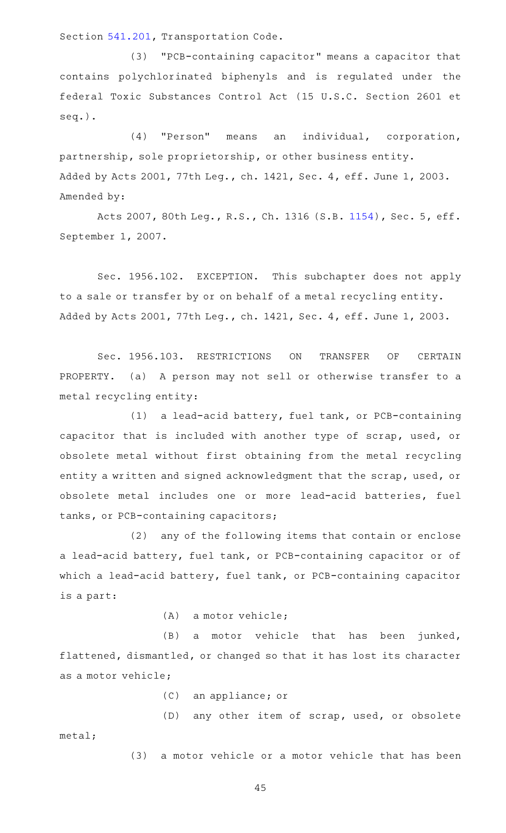Section [541.201,](https://statutes.capitol.texas.gov/GetStatute.aspx?Code=TN&Value=541.201) Transportation Code.

(3) "PCB-containing capacitor" means a capacitor that contains polychlorinated biphenyls and is regulated under the federal Toxic Substances Control Act (15 U.S.C. Section 2601 et seq.).

(4) "Person" means an individual, corporation, partnership, sole proprietorship, or other business entity. Added by Acts 2001, 77th Leg., ch. 1421, Sec. 4, eff. June 1, 2003. Amended by:

Acts 2007, 80th Leg., R.S., Ch. 1316 (S.B. [1154](http://www.legis.state.tx.us/tlodocs/80R/billtext/html/SB01154F.HTM)), Sec. 5, eff. September 1, 2007.

Sec. 1956.102. EXCEPTION. This subchapter does not apply to a sale or transfer by or on behalf of a metal recycling entity. Added by Acts 2001, 77th Leg., ch. 1421, Sec. 4, eff. June 1, 2003.

Sec. 1956.103. RESTRICTIONS ON TRANSFER OF CERTAIN PROPERTY. (a) A person may not sell or otherwise transfer to a metal recycling entity:

(1) a lead-acid battery, fuel tank, or PCB-containing capacitor that is included with another type of scrap, used, or obsolete metal without first obtaining from the metal recycling entity a written and signed acknowledgment that the scrap, used, or obsolete metal includes one or more lead-acid batteries, fuel tanks, or PCB-containing capacitors;

(2) any of the following items that contain or enclose a lead-acid battery, fuel tank, or PCB-containing capacitor or of which a lead-acid battery, fuel tank, or PCB-containing capacitor is a part:

 $(A)$  a motor vehicle;

(B) a motor vehicle that has been junked, flattened, dismantled, or changed so that it has lost its character as a motor vehicle;

(C) an appliance; or

(D) any other item of scrap, used, or obsolete metal;

(3) a motor vehicle or a motor vehicle that has been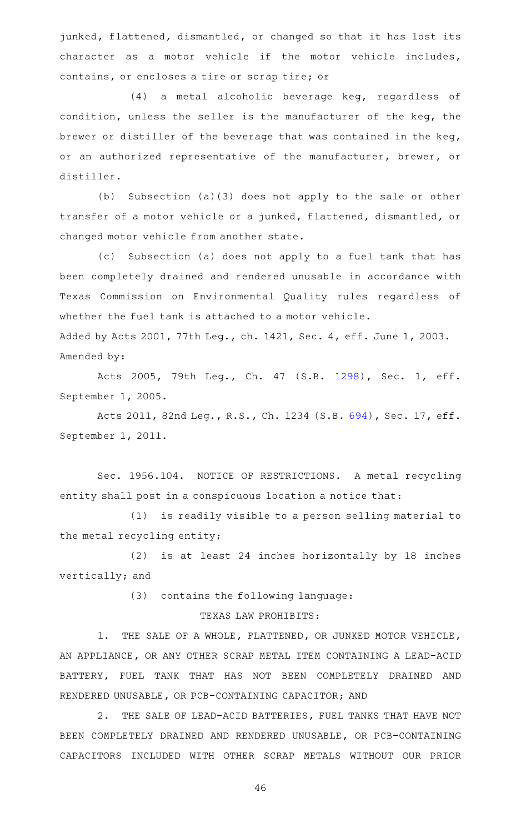junked, flattened, dismantled, or changed so that it has lost its character as a motor vehicle if the motor vehicle includes, contains, or encloses a tire or scrap tire; or

(4) a metal alcoholic beverage keg, regardless of condition, unless the seller is the manufacturer of the keg, the brewer or distiller of the beverage that was contained in the keg, or an authorized representative of the manufacturer, brewer, or distiller.

(b) Subsection (a)(3) does not apply to the sale or other transfer of a motor vehicle or a junked, flattened, dismantled, or changed motor vehicle from another state.

(c) Subsection (a) does not apply to a fuel tank that has been completely drained and rendered unusable in accordance with Texas Commission on Environmental Quality rules regardless of whether the fuel tank is attached to a motor vehicle. Added by Acts 2001, 77th Leg., ch. 1421, Sec. 4, eff. June 1, 2003.

Amended by:

Acts 2005, 79th Leg., Ch. 47 (S.B. [1298\)](http://www.legis.state.tx.us/tlodocs/79R/billtext/html/SB01298F.HTM), Sec. 1, eff. September 1, 2005.

Acts 2011, 82nd Leg., R.S., Ch. 1234 (S.B. [694\)](http://www.legis.state.tx.us/tlodocs/82R/billtext/html/SB00694F.HTM), Sec. 17, eff. September 1, 2011.

Sec. 1956.104. NOTICE OF RESTRICTIONS. A metal recycling entity shall post in a conspicuous location a notice that:

(1) is readily visible to a person selling material to the metal recycling entity;

 $(2)$  is at least 24 inches horizontally by 18 inches vertically; and

(3) contains the following language:

# TEXAS LAW PROHIBITS:

1. THE SALE OF A WHOLE, FLATTENED, OR JUNKED MOTOR VEHICLE, AN APPLIANCE, OR ANY OTHER SCRAP METAL ITEM CONTAINING A LEAD-ACID BATTERY, FUEL TANK THAT HAS NOT BEEN COMPLETELY DRAINED AND RENDERED UNUSABLE, OR PCB-CONTAINING CAPACITOR; AND

2. THE SALE OF LEAD-ACID BATTERIES, FUEL TANKS THAT HAVE NOT BEEN COMPLETELY DRAINED AND RENDERED UNUSABLE, OR PCB-CONTAINING CAPACITORS INCLUDED WITH OTHER SCRAP METALS WITHOUT OUR PRIOR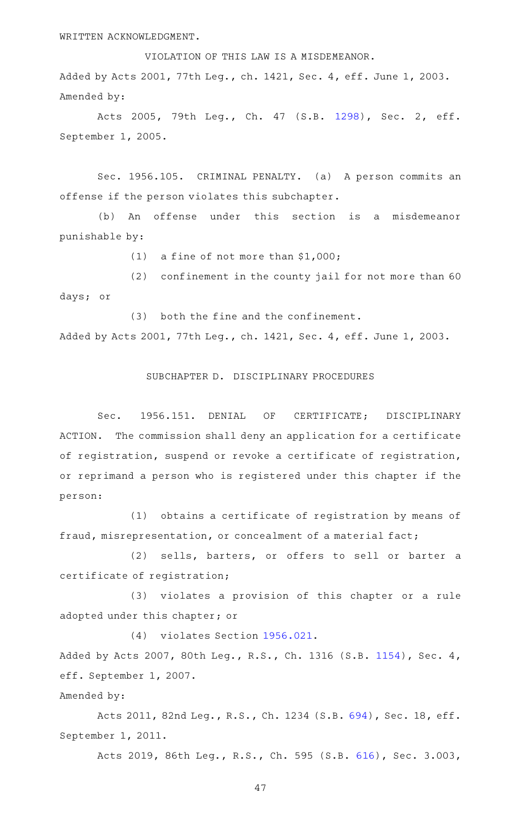WRITTEN ACKNOWLEDGMENT.

VIOLATION OF THIS LAW IS A MISDEMEANOR. Added by Acts 2001, 77th Leg., ch. 1421, Sec. 4, eff. June 1, 2003. Amended by:

Acts 2005, 79th Leg., Ch. 47 (S.B. [1298\)](http://www.legis.state.tx.us/tlodocs/79R/billtext/html/SB01298F.HTM), Sec. 2, eff. September 1, 2005.

Sec. 1956.105. CRIMINAL PENALTY. (a) A person commits an offense if the person violates this subchapter.

(b) An offense under this section is a misdemeanor punishable by:

(1) a fine of not more than  $$1,000$ ;

 $(2)$  confinement in the county jail for not more than 60 days; or

(3) both the fine and the confinement. Added by Acts 2001, 77th Leg., ch. 1421, Sec. 4, eff. June 1, 2003.

SUBCHAPTER D. DISCIPLINARY PROCEDURES

Sec. 1956.151. DENIAL OF CERTIFICATE; DISCIPLINARY ACTION. The commission shall deny an application for a certificate of registration, suspend or revoke a certificate of registration, or reprimand a person who is registered under this chapter if the person:

(1) obtains a certificate of registration by means of fraud, misrepresentation, or concealment of a material fact;

(2) sells, barters, or offers to sell or barter a certificate of registration;

(3) violates a provision of this chapter or a rule adopted under this chapter; or

(4) violates Section [1956.021.](https://statutes.capitol.texas.gov/GetStatute.aspx?Code=OC&Value=1956.021)

Added by Acts 2007, 80th Leg., R.S., Ch. 1316 (S.B. [1154\)](http://www.legis.state.tx.us/tlodocs/80R/billtext/html/SB01154F.HTM), Sec. 4, eff. September 1, 2007.

Amended by:

Acts 2011, 82nd Leg., R.S., Ch. 1234 (S.B. [694\)](http://www.legis.state.tx.us/tlodocs/82R/billtext/html/SB00694F.HTM), Sec. 18, eff. September 1, 2011.

Acts 2019, 86th Leg., R.S., Ch. 595 (S.B. [616](http://www.legis.state.tx.us/tlodocs/86R/billtext/html/SB00616F.HTM)), Sec. 3.003,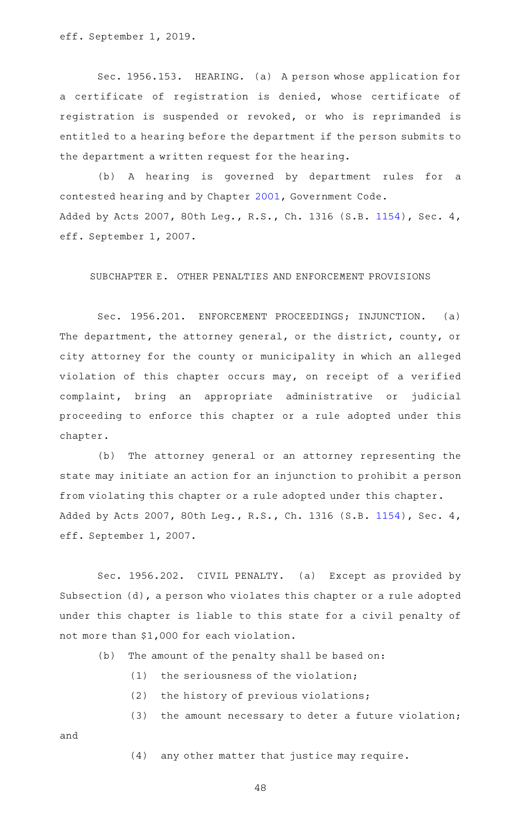eff. September 1, 2019.

Sec. 1956.153. HEARING. (a) A person whose application for a certificate of registration is denied, whose certificate of registration is suspended or revoked, or who is reprimanded is entitled to a hearing before the department if the person submits to the department a written request for the hearing.

(b) A hearing is governed by department rules for a contested hearing and by Chapter [2001,](https://statutes.capitol.texas.gov/GetStatute.aspx?Code=GV&Value=2001) Government Code. Added by Acts 2007, 80th Leg., R.S., Ch. 1316 (S.B. [1154\)](http://www.legis.state.tx.us/tlodocs/80R/billtext/html/SB01154F.HTM), Sec. 4, eff. September 1, 2007.

# SUBCHAPTER E. OTHER PENALTIES AND ENFORCEMENT PROVISIONS

Sec. 1956.201. ENFORCEMENT PROCEEDINGS; INJUNCTION. (a) The department, the attorney general, or the district, county, or city attorney for the county or municipality in which an alleged violation of this chapter occurs may, on receipt of a verified complaint, bring an appropriate administrative or judicial proceeding to enforce this chapter or a rule adopted under this chapter.

(b) The attorney general or an attorney representing the state may initiate an action for an injunction to prohibit a person from violating this chapter or a rule adopted under this chapter. Added by Acts 2007, 80th Leg., R.S., Ch. 1316 (S.B. [1154\)](http://www.legis.state.tx.us/tlodocs/80R/billtext/html/SB01154F.HTM), Sec. 4, eff. September 1, 2007.

Sec. 1956.202. CIVIL PENALTY. (a) Except as provided by Subsection (d), a person who violates this chapter or a rule adopted under this chapter is liable to this state for a civil penalty of not more than \$1,000 for each violation.

 $(b)$  The amount of the penalty shall be based on:

- $(1)$  the seriousness of the violation;
- $(2)$  the history of previous violations;
- $(3)$  the amount necessary to deter a future violation;

and

(4) any other matter that justice may require.